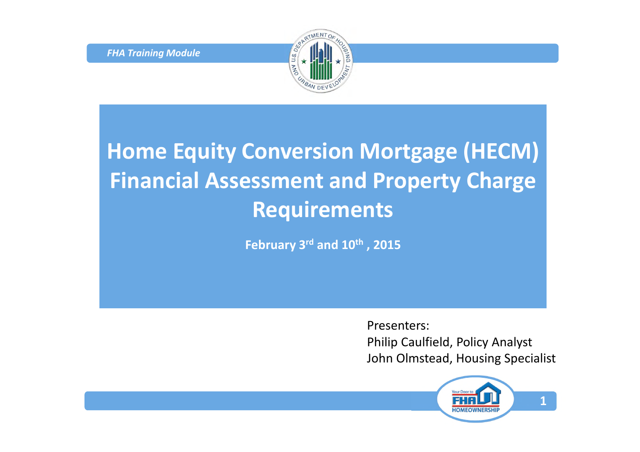*FHA Training Module*



## **Home Equity Conversion Mortgage (HECM) Financial Assessment and Property Charge Requirements**

**February 3rd and 10th , 2015**

Presenters:

Philip Caulfield, Policy Analyst John Olmstead, Housing Specialist

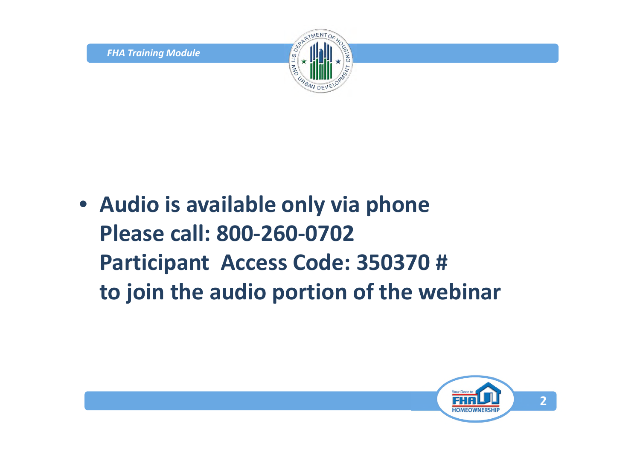

• **Audio is available only via phone Please call: 800-260-0702 Participant Access Code: 350370 # to join the audio portion of the webinar**

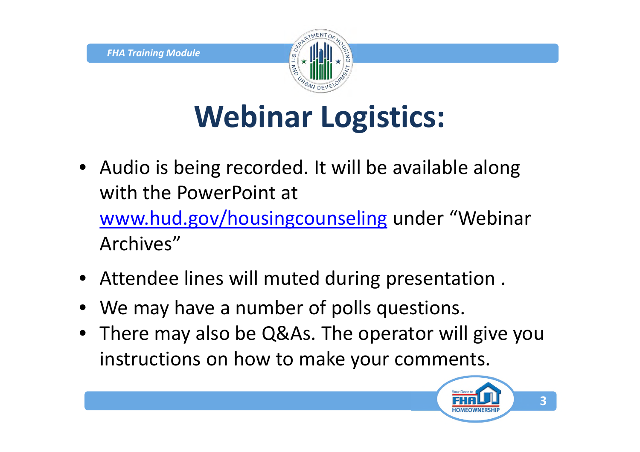

# **Webinar Logistics:**

- Audio is being recorded. It will be available along with the PowerPoint at www.hud.gov/housingcounseling under "Webinar Archives"
- Attendee lines will muted during presentation .
- We may have a number of polls questions.
- There may also be Q&As. The operator will give you instructions on how to make your comments.

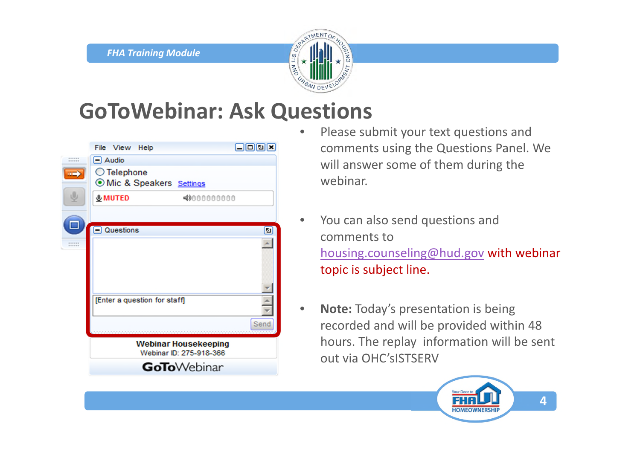

#### **GoToWebinar: Ask Questions**

|                  | File View<br>Help                                      | 日回回区 |
|------------------|--------------------------------------------------------|------|
| ******<br>------ | $\Box$ Audio                                           |      |
| c                | ◯ Telephone<br>O Mic & Speakers Settings               |      |
|                  | <b>&amp;MUTED</b><br>4000000000                        |      |
|                  | $\Box$ Questions                                       | ø    |
| <br>------       |                                                        |      |
|                  | [Enter a question for staff]                           | Send |
|                  |                                                        |      |
|                  | <b>Webinar Housekeeping</b><br>Webinar ID: 275-918-366 |      |
|                  | <b>GoTo</b> Webinar                                    |      |

- Please submit your text questions and comments using the Questions Panel. We will answer some of them during the webinar.
- You can also send questions and comments to housing.counseling@hud.gov with webinar topic is subject line.
- **Note:** Today's presentation is being recorded and will be provided within 48 hours. The replay information will be sent out via OHC'sISTSERV

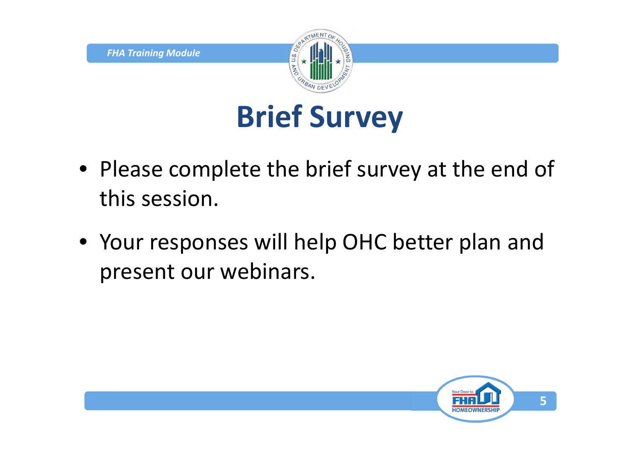

# **Brief Survey**

- Please complete the brief survey at the end of this session.
- Your responses will help OHC better plan and present our webinars.

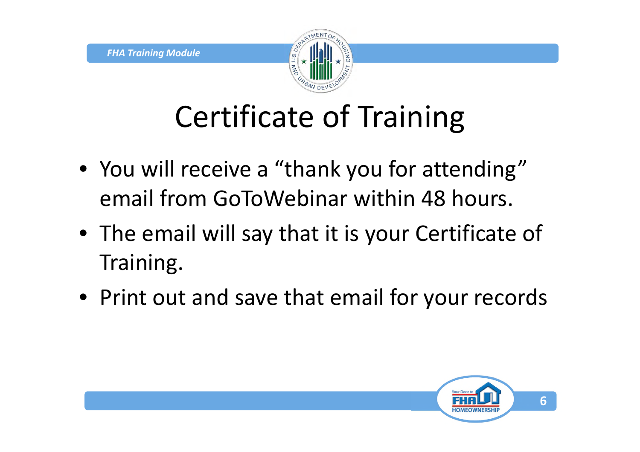

# Certificate of Training

- You will receive a "thank you for attending" email from GoToWebinar within 48 hours.
- The email will say that it is your Certificate of Training.
- Print out and save that email for your records

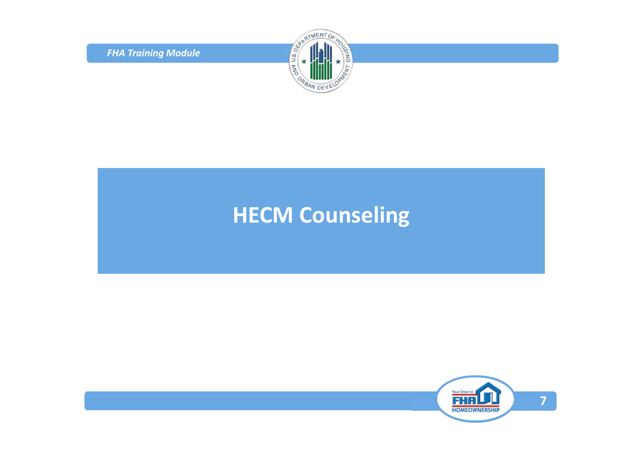*FHA Training Module*



#### **HECM Counseling**

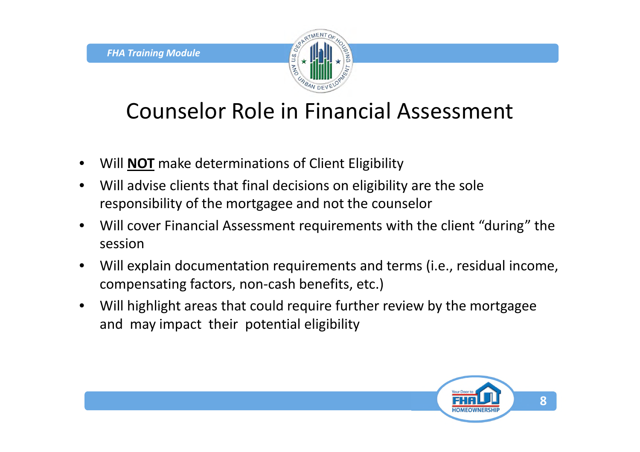

### Counselor Role in Financial Assessment

- Will **NOT** make determinations of Client Eligibility
- Will advise clients that final decisions on eligibility are the sole responsibility of the mortgagee and not the counselor
- Will cover Financial Assessment requirements with the client "during" the session
- Will explain documentation requirements and terms (i.e., residual income, compensating factors, non-cash benefits, etc.)
- Will highlight areas that could require further review by the mortgagee and may impact their potential eligibility

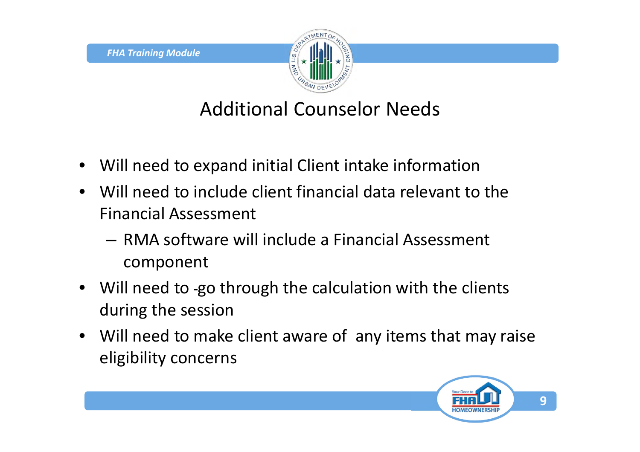

#### Additional Counselor Needs

- Will need to expand initial Client intake information
- Will need to include client financial data relevant to the Financial Assessment
	- RMA software will include a Financial Assessment component
- Will need to -go through the calculation with the clients during the session
- Will need to make client aware of any items that may raise eligibility concerns

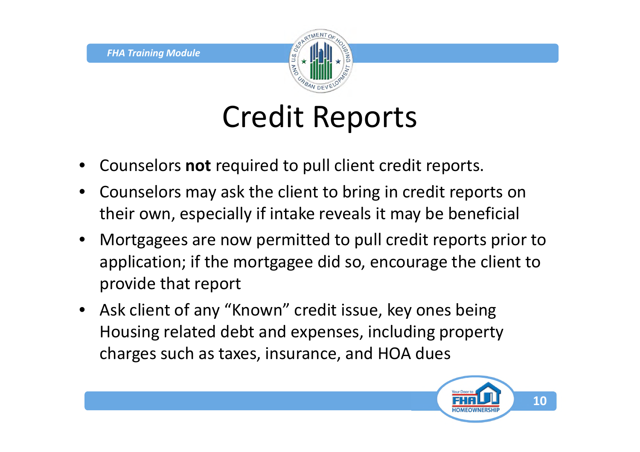

## Credit Reports

- Counselors **not** required to pull client credit reports.
- Counselors may ask the client to bring in credit reports on their own, especially if intake reveals it may be beneficial
- Mortgagees are now permitted to pull credit reports prior to application; if the mortgagee did so, encourage the client to provide that report
- Ask client of any "Known" credit issue, key ones being Housing related debt and expenses, including property charges such as taxes, insurance, and HOA dues

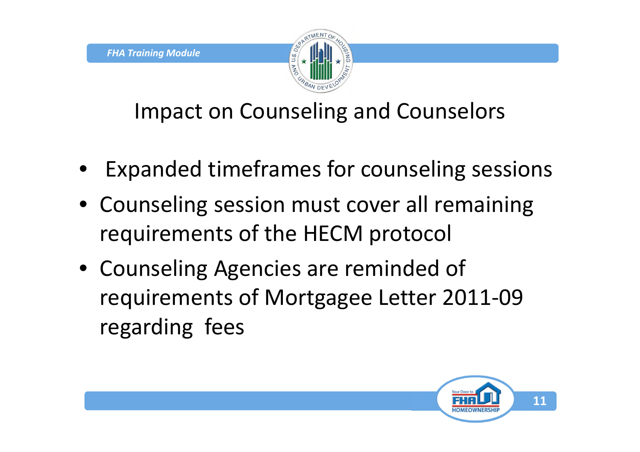

Impact on Counseling and Counselors

- Expanded timeframes for counseling sessions
- Counseling session must cover all remaining requirements of the HECM protocol
- Counseling Agencies are reminded of requirements of Mortgagee Letter 2011-09 regarding fees

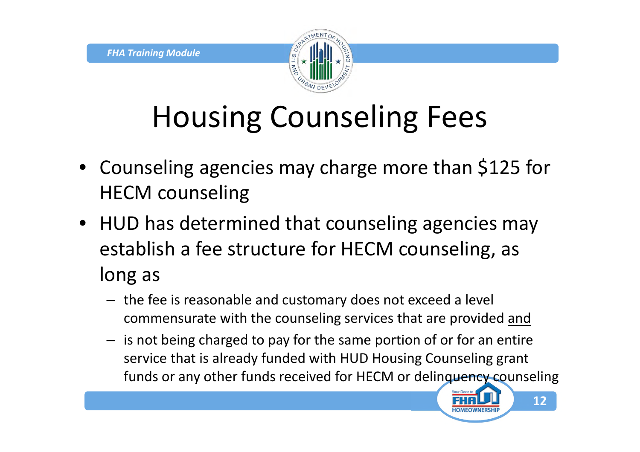

# Housing Counseling Fees

- Counseling agencies may charge more than \$125 for HECM counseling
- HUD has determined that counseling agencies may establish a fee structure for HECM counseling, as long as
	- the fee is reasonable and customary does not exceed a level commensurate with the counseling services that are provided and
	- is not being charged to pay for the same portion of or for an entire service that is already funded with HUD Housing Counseling grant funds or any other funds received for HECM or delinquency counseling

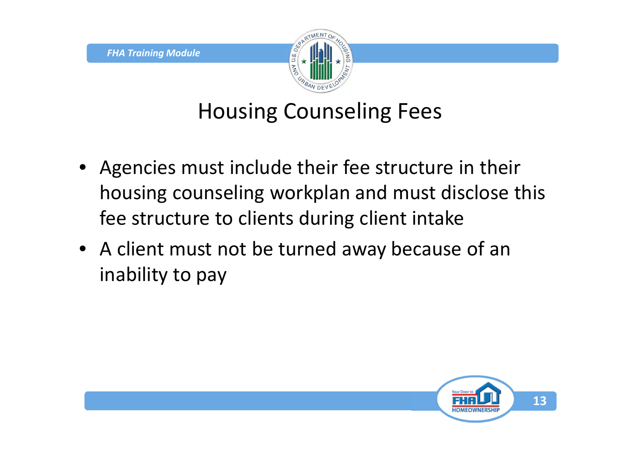

#### Housing Counseling Fees

- Agencies must include their fee structure in their housing counseling workplan and must disclose this fee structure to clients during client intake
- A client must not be turned away because of an inability to pay

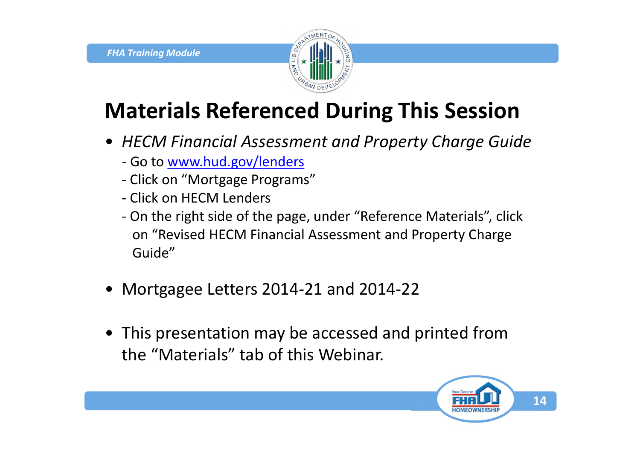

## **Materials Referenced During This Session**

- *HECM Financial Assessment and Property Charge Guide*
	- *-* Go to www.hud.gov/lenders
	- Click on "Mortgage Programs"
	- Click on HECM Lenders
	- On the right side of the page, under "Reference Materials", click on "Revised HECM Financial Assessment and Property Charge Guide"
- Mortgagee Letters 2014-21 and 2014-22
- This presentation may be accessed and printed from the "Materials" tab of this Webinar.

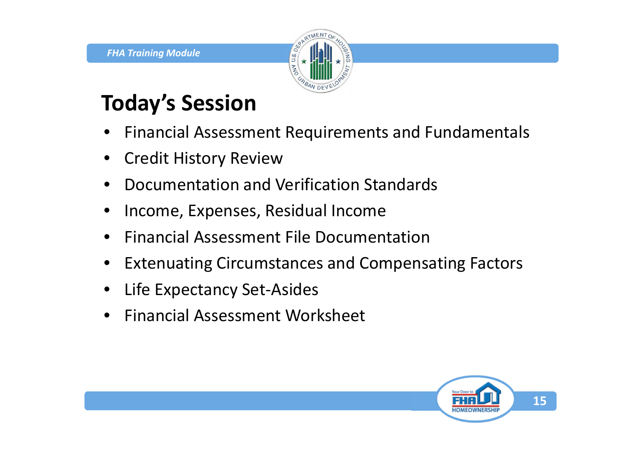

## **Today's Session**

- Financial Assessment Requirements and Fundamentals
- Credit History Review
- Documentation and Verification Standards
- Income, Expenses, Residual Income
- Financial Assessment File Documentation
- Extenuating Circumstances and Compensating Factors
- Life Expectancy Set-Asides
- Financial Assessment Worksheet

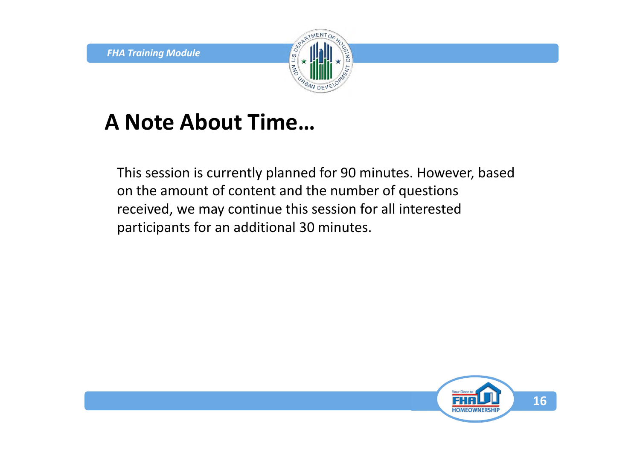

#### **A Note About Time…**

This session is currently planned for 90 minutes. However, based on the amount of content and the number of questions received, we may continue this session for all interested participants for an additional 30 minutes.

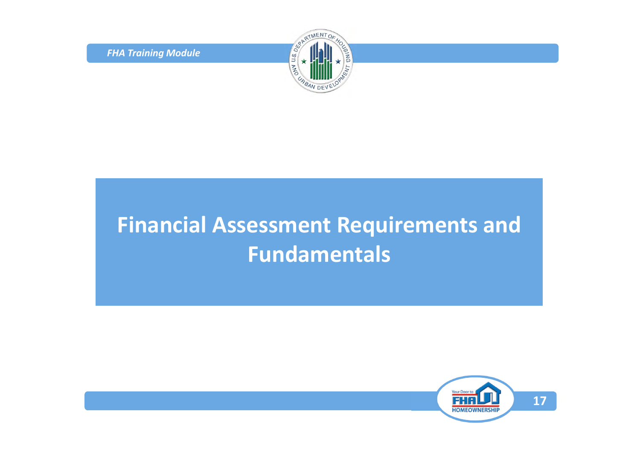*FHA Training Module*



### **Financial Assessment Requirements and Fundamentals**

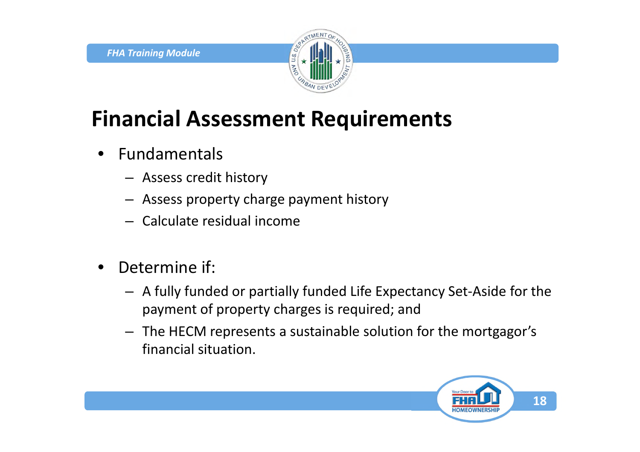

## **Financial Assessment Requirements**

- **Fundamentals** 
	- Assess credit history
	- Assess property charge payment history
	- Calculate residual income
- Determine if:
	- A fully funded or partially funded Life Expectancy Set-Aside for the payment of property charges is required; and
	- The HECM represents a sustainable solution for the mortgagor's financial situation.

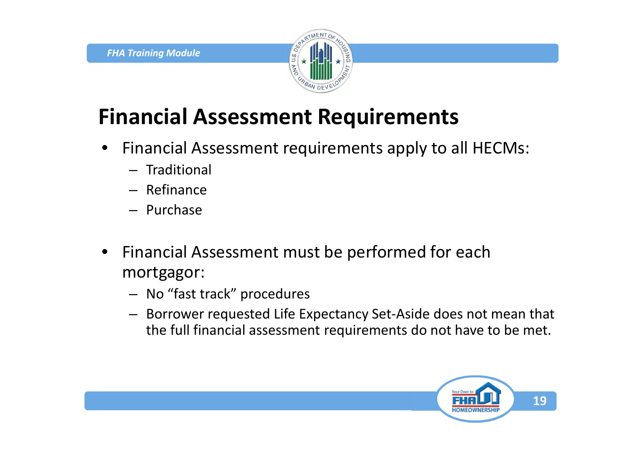

## **Financial Assessment Requirements**

- Financial Assessment requirements apply to all HECMs:
	- Traditional
	- Refinance
	- Purchase
- Financial Assessment must be performed for each mortgagor:
	- No "fast track" procedures
	- Borrower requested Life Expectancy Set-Aside does not mean that the full financial assessment requirements do not have to be met.

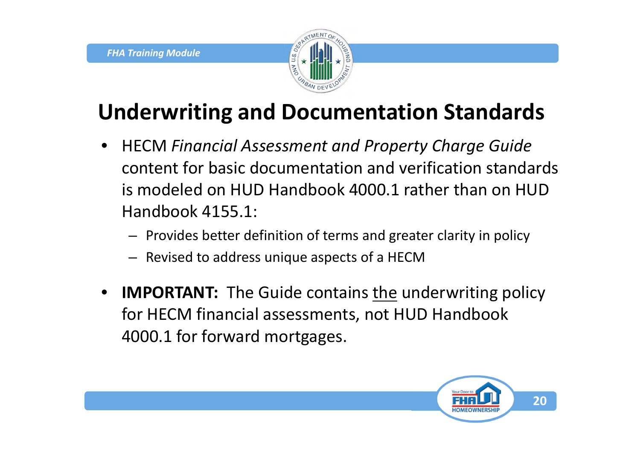

## **Underwriting and Documentation Standards**

- HECM *Financial Assessment and Property Charge Guide* content for basic documentation and verification standards is modeled on HUD Handbook 4000.1 rather than on HUD Handbook 4155.1:
	- Provides better definition of terms and greater clarity in policy
	- Revised to address unique aspects of a HECM
- **IMPORTANT:** The Guide contains the underwriting policy for HECM financial assessments, not HUD Handbook 4000.1 for forward mortgages.

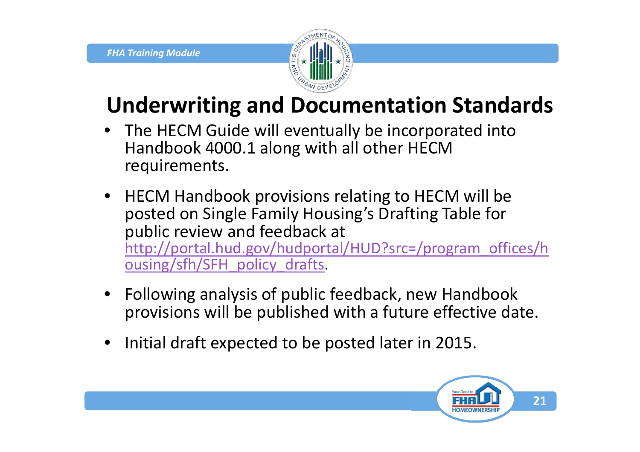

## **Underwriting and Documentation Standards**

- The HECM Guide will eventually be incorporated into Handbook 4000.1 along with all other HECM requirements.
- HECM Handbook provisions relating to HECM will be posted on Single Family Housing's Drafting Table for public review and feedback at http://portal.hud.gov/hudportal/HUD?src=/program\_offices/h ousing/sfh/SFH\_policy\_drafts.
- Following analysis of public feedback, new Handbook provisions will be published with a future effective date.
- Initial draft expected to be posted later in 2015.

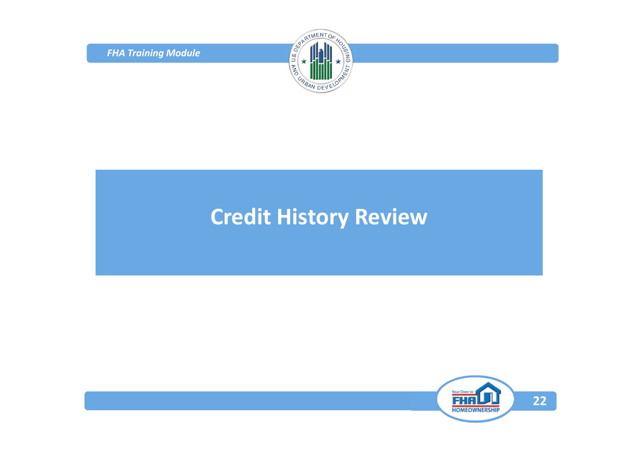*FHA Training Module*



#### **Credit History Review**

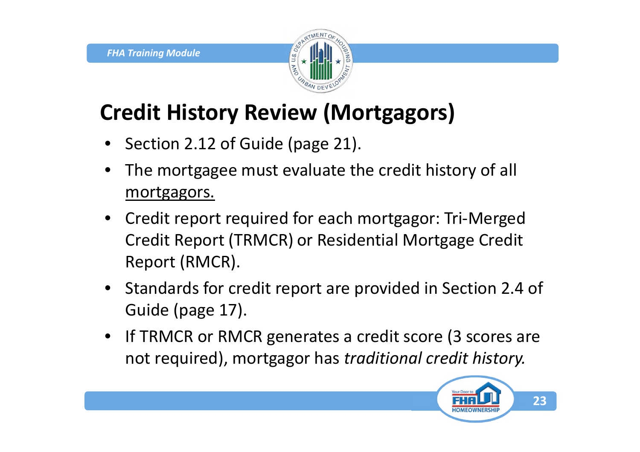

## **Credit History Review (Mortgagors)**

- Section 2.12 of Guide (page 21).
- The mortgagee must evaluate the credit history of all mortgagors.
- Credit report required for each mortgagor: Tri-Merged Credit Report (TRMCR) or Residential Mortgage Credit Report (RMCR).
- Standards for credit report are provided in Section 2.4 of Guide (page 17).
- If TRMCR or RMCR generates a credit score (3 scores are not required), mortgagor has *traditional credit history.*

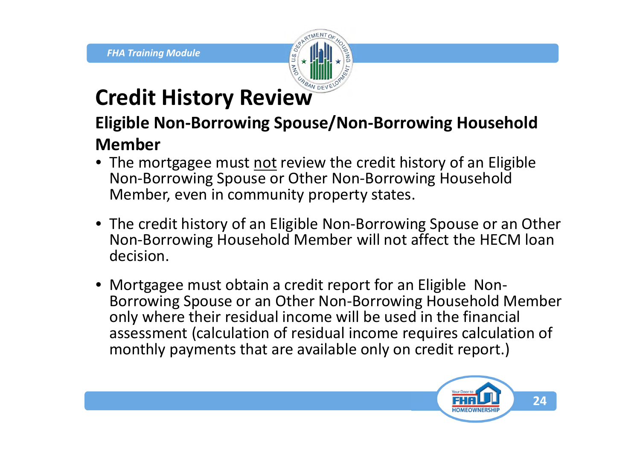

### **Credit History Review**

#### **Eligible Non-Borrowing Spouse/Non-Borrowing Household Member**

- The mortgagee must not review the credit history of an Eligible Non-Borrowing Spouse or Other Non-Borrowing Household Member, even in community property states.
- The credit history of an Eligible Non-Borrowing Spouse or an Other Non-Borrowing Household Member will not affect the HECM loan decision.
- Mortgagee must obtain a credit report for an Eligible Non-Borrowing Spouse or an Other Non-Borrowing Household Member only where their residual income will be used in the financial assessment (calculation of residual income requires calculation of monthly payments that are available only on credit report.)

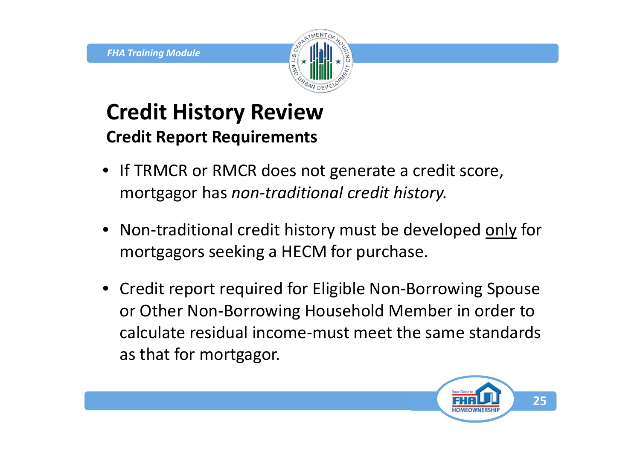

#### **Credit History Review Credit Report Requirements**

- If TRMCR or RMCR does not generate a credit score, mortgagor has *non*-*traditional credit history.*
- Non-traditional credit history must be developed only for mortgagors seeking a HECM for purchase.
- Credit report required for Eligible Non-Borrowing Spouse or Other Non-Borrowing Household Member in order to calculate residual income-must meet the same standards as that for mortgagor.

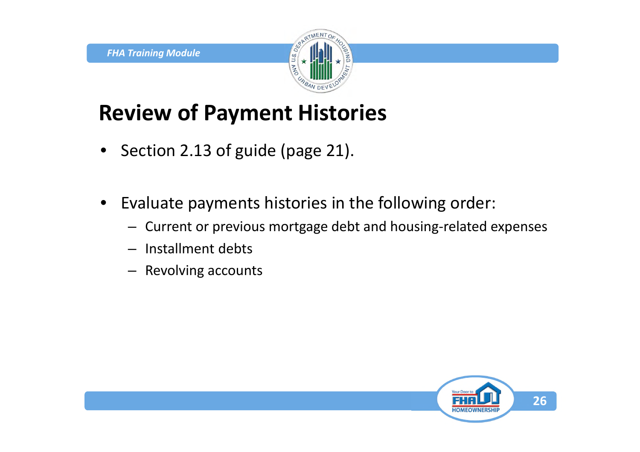

## **Review of Payment Histories**

- Section 2.13 of guide (page 21).
- Evaluate payments histories in the following order:
	- Current or previous mortgage debt and housing-related expenses
	- Installment debts
	- Revolving accounts

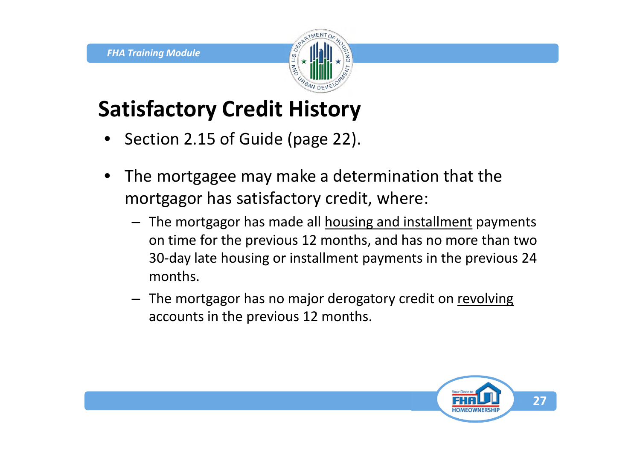

## **Satisfactory Credit History**

- Section 2.15 of Guide (page 22).
- The mortgagee may make a determination that the mortgagor has satisfactory credit, where:
	- The mortgagor has made all housing and installment payments on time for the previous 12 months, and has no more than two 30-day late housing or installment payments in the previous 24 months.
	- The mortgagor has no major derogatory credit on revolving accounts in the previous 12 months.

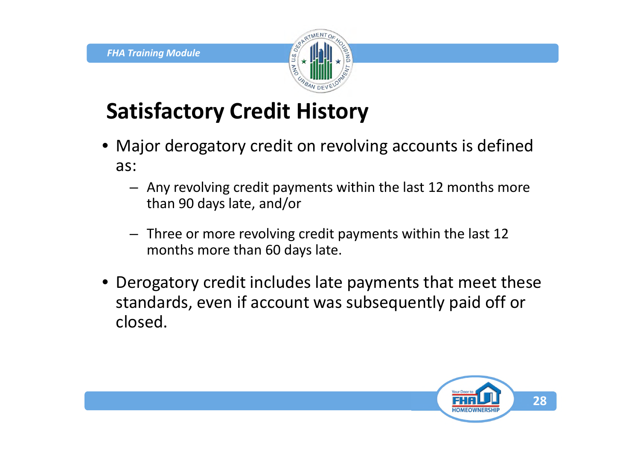

## **Satisfactory Credit History**

- Major derogatory credit on revolving accounts is defined as:
	- Any revolving credit payments within the last 12 months more than 90 days late, and/or
	- Three or more revolving credit payments within the last 12 months more than 60 days late.
- Derogatory credit includes late payments that meet these standards, even if account was subsequently paid off or closed.

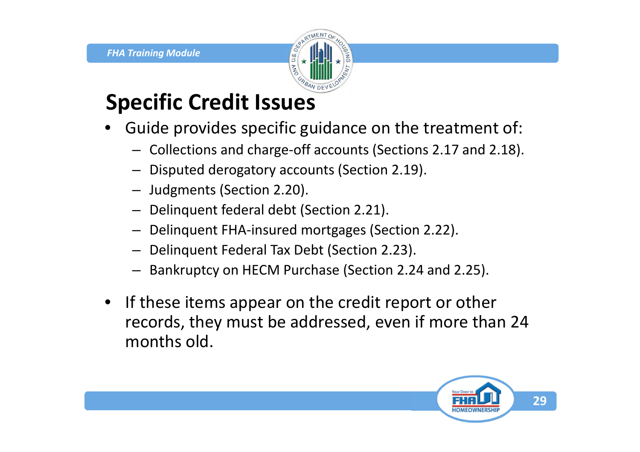

## **Specific Credit Issues**

- Guide provides specific guidance on the treatment of:
	- Collections and charge-off accounts (Sections 2.17 and 2.18).
	- Disputed derogatory accounts (Section 2.19).
	- Judgments (Section 2.20).
	- Delinquent federal debt (Section 2.21).
	- Delinquent FHA-insured mortgages (Section 2.22).
	- Delinquent Federal Tax Debt (Section 2.23).
	- Bankruptcy on HECM Purchase (Section 2.24 and 2.25).
- If these items appear on the credit report or other records, they must be addressed, even if more than 24 months old.

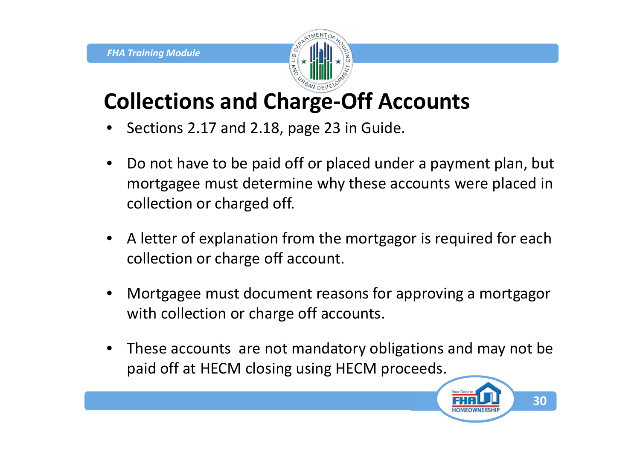

### **Collections and Charge-Off Accounts**

- Sections 2.17 and 2.18, page 23 in Guide.
- Do not have to be paid off or placed under a payment plan, but mortgagee must determine why these accounts were placed in collection or charged off.
- A letter of explanation from the mortgagor is required for each collection or charge off account.
- Mortgagee must document reasons for approving a mortgagor with collection or charge off accounts.
- These accounts are not mandatory obligations and may not be paid off at HECM closing using HECM proceeds.

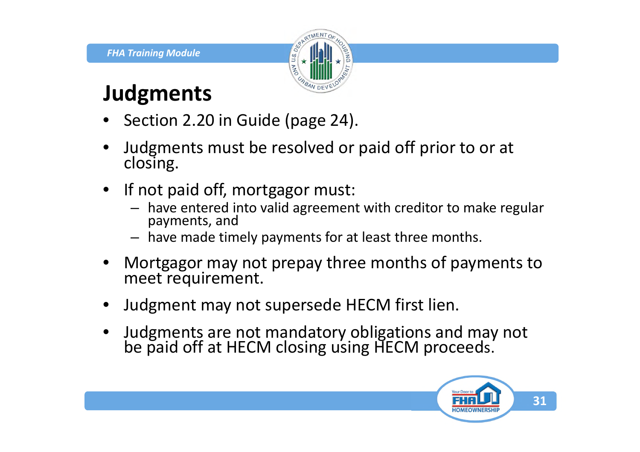

#### **Judgments**

- Section 2.20 in Guide (page 24).
- Judgments must be resolved or paid off prior to or at closing.
- If not paid off, mortgagor must:
	- have entered into valid agreement with creditor to make regular payments, and
	- have made timely payments for at least three months.
- Mortgagor may not prepay three months of payments to meet requirement.
- Judgment may not supersede HECM first lien.
- Judgments are not mandatory obligations and may not be paid off at HECM closing using HECM proceeds.

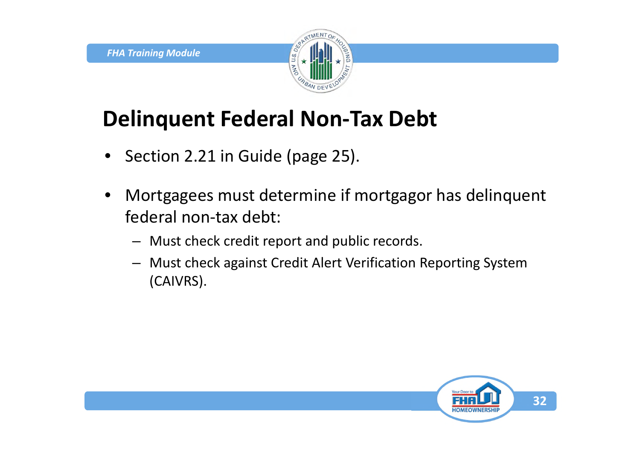

### **Delinquent Federal Non-Tax Debt**

- Section 2.21 in Guide (page 25).
- Mortgagees must determine if mortgagor has delinquent federal non-tax debt:
	- Must check credit report and public records.
	- Must check against Credit Alert Verification Reporting System (CAIVRS).

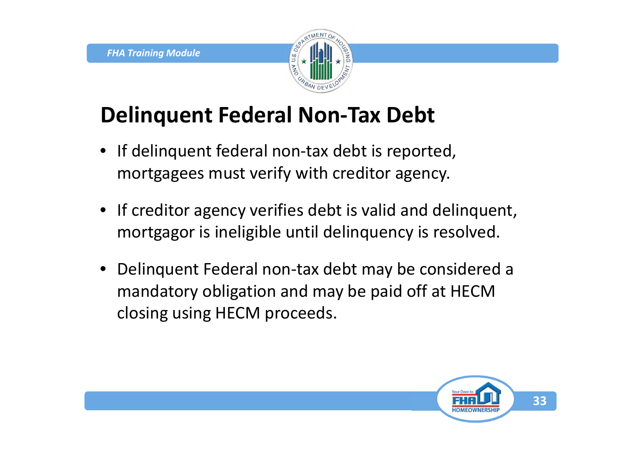

## **Delinquent Federal Non-Tax Debt**

- If delinquent federal non-tax debt is reported, mortgagees must verify with creditor agency.
- If creditor agency verifies debt is valid and delinquent, mortgagor is ineligible until delinquency is resolved.
- Delinquent Federal non-tax debt may be considered a mandatory obligation and may be paid off at HECM closing using HECM proceeds.

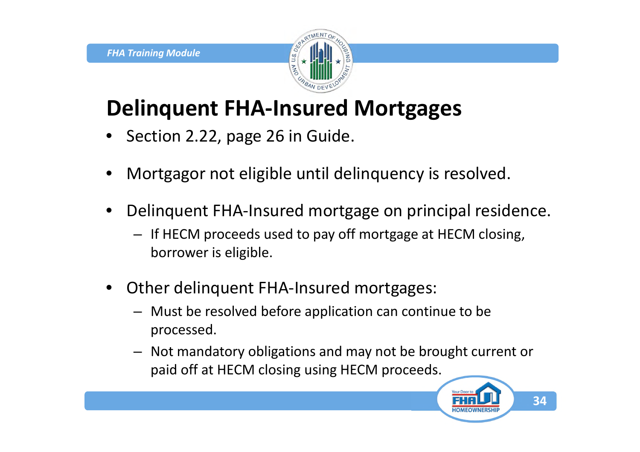

## **Delinquent FHA-Insured Mortgages**

- Section 2.22, page 26 in Guide.
- Mortgagor not eligible until delinquency is resolved.
- Delinquent FHA-Insured mortgage on principal residence.
	- If HECM proceeds used to pay off mortgage at HECM closing, borrower is eligible.
- Other delinquent FHA-Insured mortgages:
	- Must be resolved before application can continue to be processed.
	- Not mandatory obligations and may not be brought current or paid off at HECM closing using HECM proceeds.

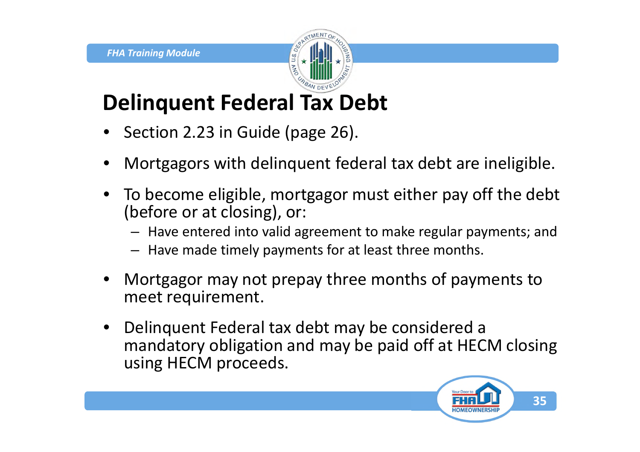

## **Delinquent Federal Tax Debt**

- Section 2.23 in Guide (page 26).
- Mortgagors with delinquent federal tax debt are ineligible.
- To become eligible, mortgagor must either pay off the debt (before or at closing), or:
	- Have entered into valid agreement to make regular payments; and
	- Have made timely payments for at least three months.
- Mortgagor may not prepay three months of payments to meet requirement.
- Delinquent Federal tax debt may be considered a mandatory obligation and may be paid off at HECM closing using HECM proceeds.

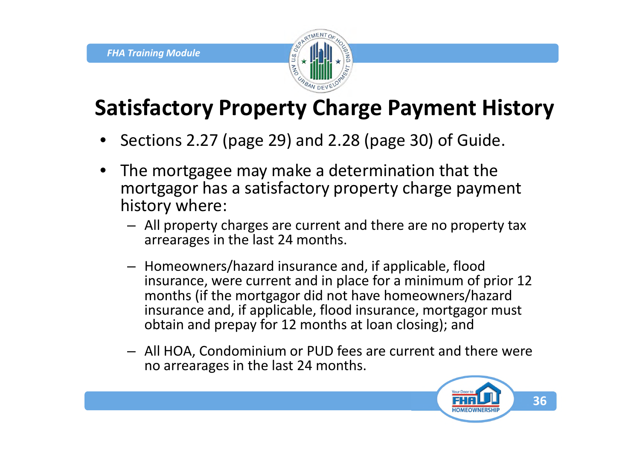

## **Satisfactory Property Charge Payment History**

- Sections 2.27 (page 29) and 2.28 (page 30) of Guide.
- The mortgagee may make a determination that the mortgagor has a satisfactory property charge payment history where:
	- All property charges are current and there are no property tax arrearages in the last 24 months.
	- Homeowners/hazard insurance and, if applicable, flood insurance, were current and in place for a minimum of prior 12 months (if the mortgagor did not have homeowners/hazard insurance and, if applicable, flood insurance, mortgagor must obtain and prepay for 12 months at loan closing); and
	- All HOA, Condominium or PUD fees are current and there were no arrearages in the last 24 months.

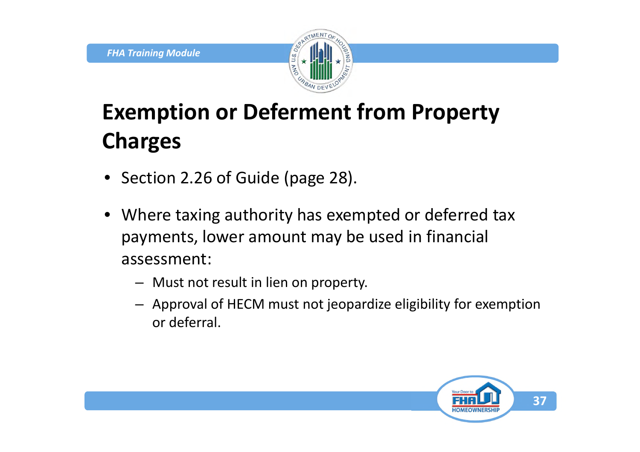

# **Exemption or Deferment from Property Charges**

- Section 2.26 of Guide (page 28).
- Where taxing authority has exempted or deferred tax payments, lower amount may be used in financial assessment:
	- Must not result in lien on property.
	- Approval of HECM must not jeopardize eligibility for exemption or deferral.

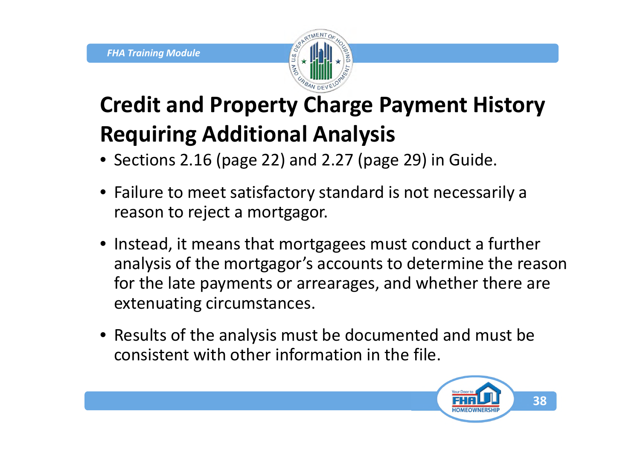

# **Credit and Property Charge Payment History Requiring Additional Analysis**

- Sections 2.16 (page 22) and 2.27 (page 29) in Guide.
- Failure to meet satisfactory standard is not necessarily a reason to reject a mortgagor.
- Instead, it means that mortgagees must conduct a further analysis of the mortgagor's accounts to determine the reason for the late payments or arrearages, and whether there are extenuating circumstances.
- Results of the analysis must be documented and must be consistent with other information in the file.

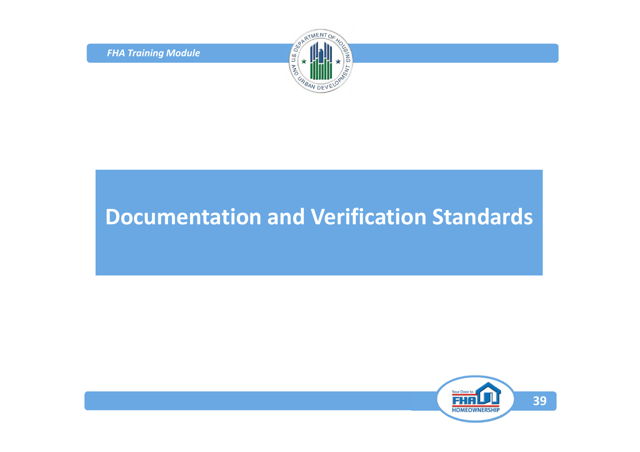*FHA Training Module*



### **Documentation and Verification Standards**

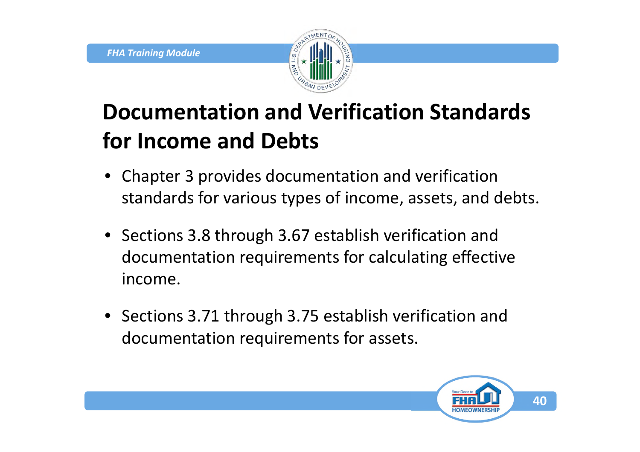

## **Documentation and Verification Standards for Income and Debts**

- Chapter 3 provides documentation and verification standards for various types of income, assets, and debts.
- Sections 3.8 through 3.67 establish verification and documentation requirements for calculating effective income.
- Sections 3.71 through 3.75 establish verification and documentation requirements for assets.

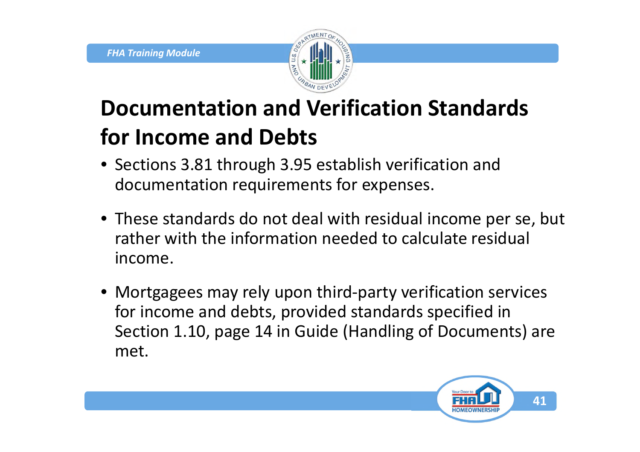

# **Documentation and Verification Standards for Income and Debts**

- Sections 3.81 through 3.95 establish verification and documentation requirements for expenses.
- These standards do not deal with residual income per se, but rather with the information needed to calculate residual income.
- Mortgagees may rely upon third-party verification services for income and debts, provided standards specified in Section 1.10, page 14 in Guide (Handling of Documents) are met.

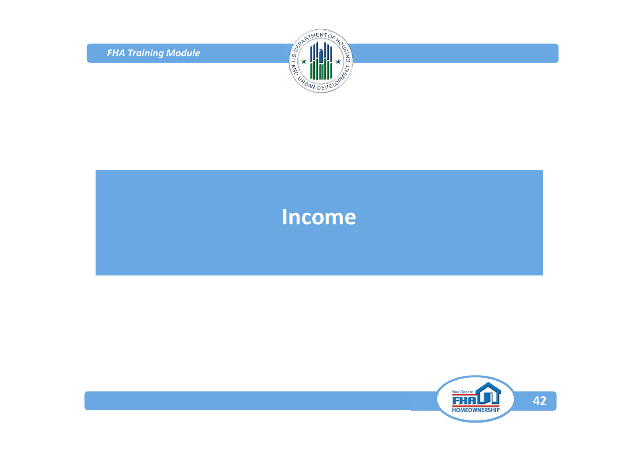*FHA Training Module*



#### **Income**

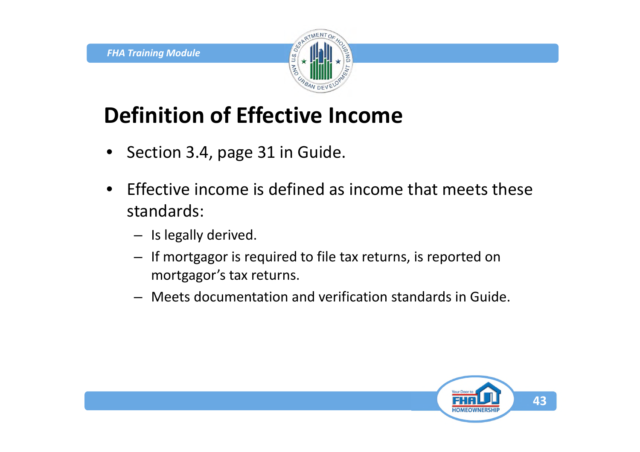

## **Definition of Effective Income**

- Section 3.4, page 31 in Guide.
- Effective income is defined as income that meets these standards:
	- Is legally derived.
	- If mortgagor is required to file tax returns, is reported on mortgagor's tax returns.
	- Meets documentation and verification standards in Guide.

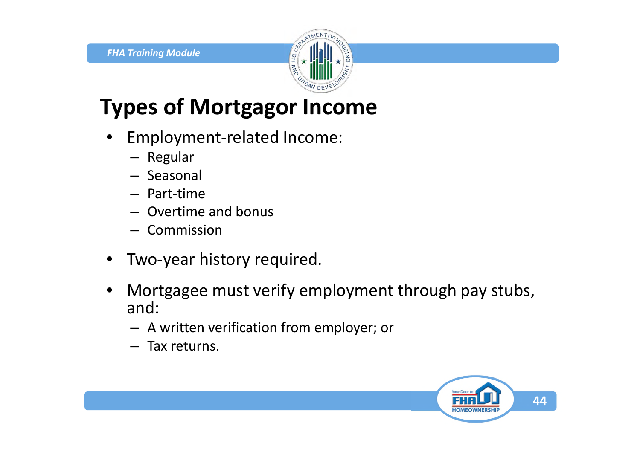

## **Types of Mortgagor Income**

- Employment-related Income:
	- Regular
	- Seasonal
	- Part-time
	- Overtime and bonus
	- Commission
- Two-year history required.
- Mortgagee must verify employment through pay stubs, and:
	- A written verification from employer; or
	- Tax returns.

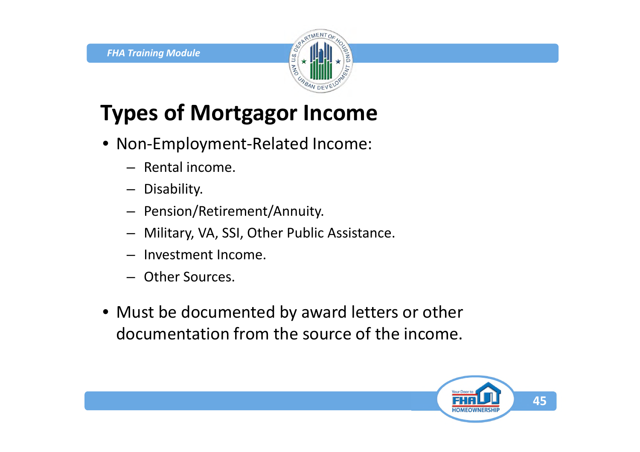

# **Types of Mortgagor Income**

- Non-Employment-Related Income:
	- Rental income.
	- Disability.
	- Pension/Retirement/Annuity.
	- Military, VA, SSI, Other Public Assistance.
	- Investment Income.
	- Other Sources.
- Must be documented by award letters or other documentation from the source of the income.

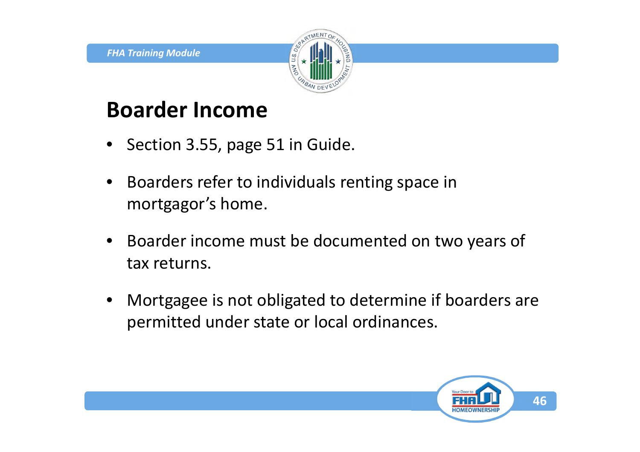

### **Boarder Income**

- Section 3.55, page 51 in Guide.
- Boarders refer to individuals renting space in mortgagor's home.
- Boarder income must be documented on two years of tax returns.
- Mortgagee is not obligated to determine if boarders are permitted under state or local ordinances.

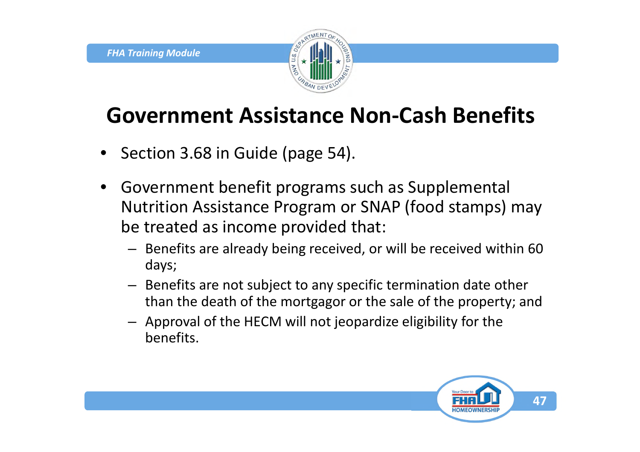

### **Government Assistance Non-Cash Benefits**

- Section 3.68 in Guide (page 54).
- Government benefit programs such as Supplemental Nutrition Assistance Program or SNAP (food stamps) may be treated as income provided that:
	- Benefits are already being received, or will be received within 60 days;
	- Benefits are not subject to any specific termination date other than the death of the mortgagor or the sale of the property; and
	- Approval of the HECM will not jeopardize eligibility for the benefits.

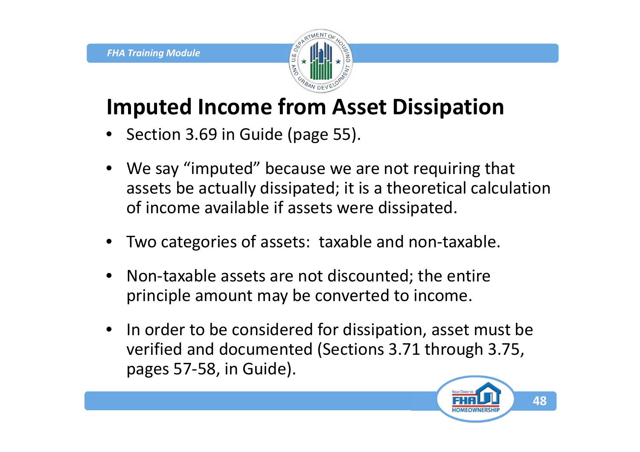

## **Imputed Income from Asset Dissipation**

- Section 3.69 in Guide (page 55).
- We say "imputed" because we are not requiring that assets be actually dissipated; it is a theoretical calculation of income available if assets were dissipated.
- Two categories of assets: taxable and non-taxable.
- Non-taxable assets are not discounted; the entire principle amount may be converted to income.
- In order to be considered for dissipation, asset must be verified and documented (Sections 3.71 through 3.75, pages 57-58, in Guide).

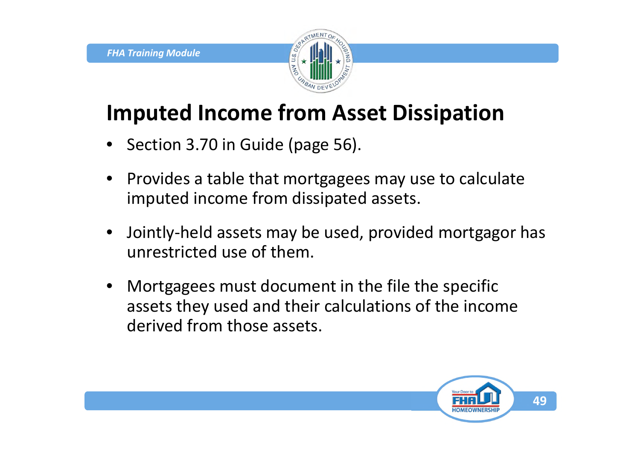

### **Imputed Income from Asset Dissipation**

- Section 3.70 in Guide (page 56).
- Provides a table that mortgagees may use to calculate imputed income from dissipated assets.
- Jointly-held assets may be used, provided mortgagor has unrestricted use of them.
- Mortgagees must document in the file the specific assets they used and their calculations of the income derived from those assets.

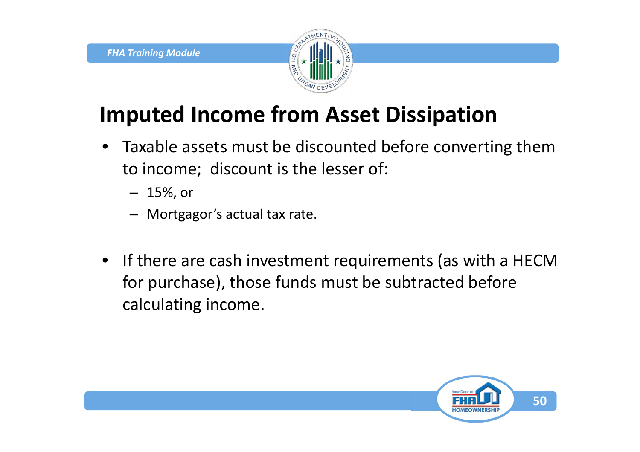

## **Imputed Income from Asset Dissipation**

- Taxable assets must be discounted before converting them to income; discount is the lesser of:
	- 15%, or
	- Mortgagor's actual tax rate.
- If there are cash investment requirements (as with a HECM for purchase), those funds must be subtracted before calculating income.

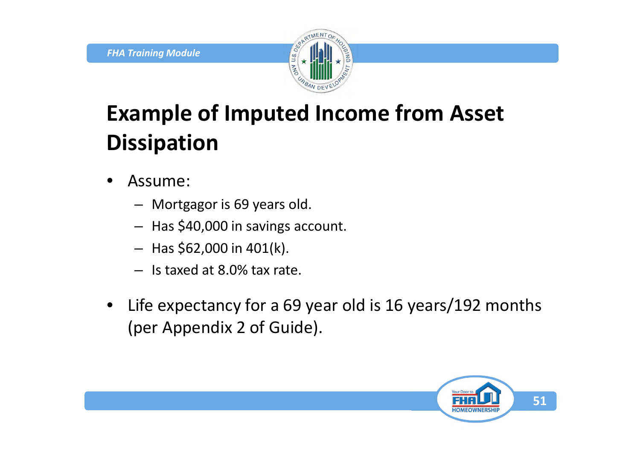

## **Example of Imputed Income from Asset Dissipation**

- Assume:
	- Mortgagor is 69 years old.
	- Has \$40,000 in savings account.
	- $-$  Has \$62,000 in 401(k).
	- Is taxed at 8.0% tax rate.
- Life expectancy for a 69 year old is 16 years/192 months (per Appendix 2 of Guide).

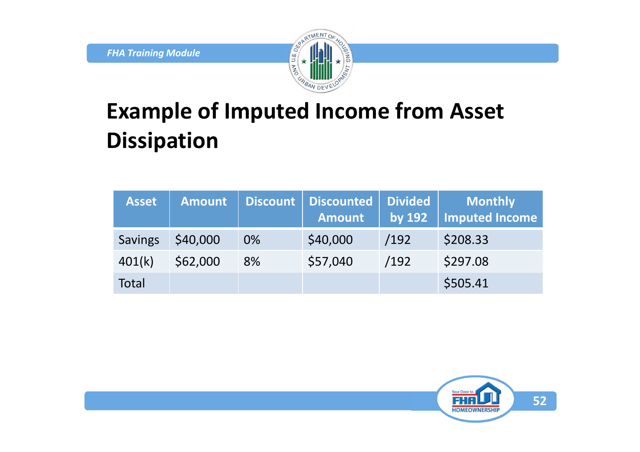

## **Example of Imputed Income from Asset Dissipation**

| <b>Asset</b>   | <b>Amount</b> | Discount | Discounted<br><b>Amount</b> | <b>Divided</b><br>by 192 | <b>Monthly</b><br>Imputed Income |
|----------------|---------------|----------|-----------------------------|--------------------------|----------------------------------|
| <b>Savings</b> | \$40,000      | $0\%$    | \$40,000                    | /192                     | \$208.33                         |
| 401(k)         | \$62,000      | 8%       | \$57,040                    | /192                     | \$297.08                         |
| Total          |               |          |                             |                          | \$505.41                         |

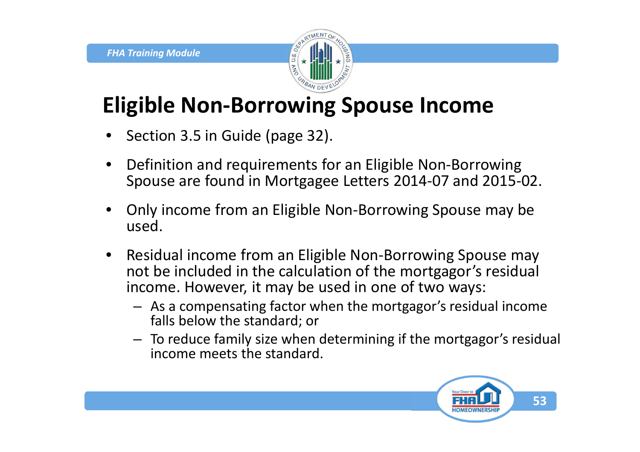

### **Eligible Non-Borrowing Spouse Income**

- Section 3.5 in Guide (page 32).
- Definition and requirements for an Eligible Non-Borrowing Spouse are found in Mortgagee Letters 2014-07 and 2015-02.
- Only income from an Eligible Non-Borrowing Spouse may be used.
- Residual income from an Eligible Non-Borrowing Spouse may not be included in the calculation of the mortgagor's residual income. However, it may be used in one of two ways:
	- As a compensating factor when the mortgagor's residual income falls below the standard; or
	- To reduce family size when determining if the mortgagor's residual income meets the standard.

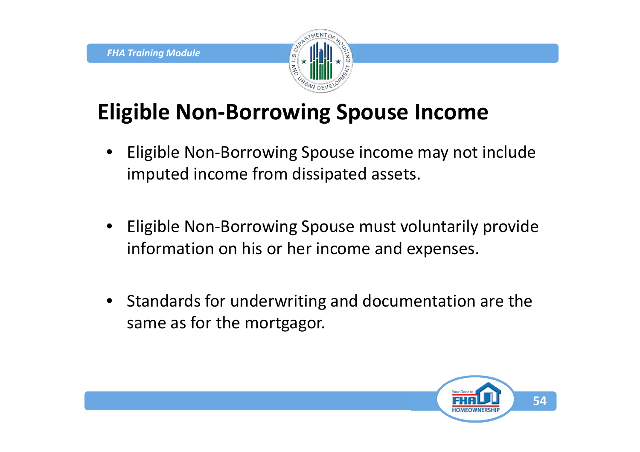

## **Eligible Non-Borrowing Spouse Income**

- Eligible Non-Borrowing Spouse income may not include imputed income from dissipated assets.
- Eligible Non-Borrowing Spouse must voluntarily provide information on his or her income and expenses.
- Standards for underwriting and documentation are the same as for the mortgagor.

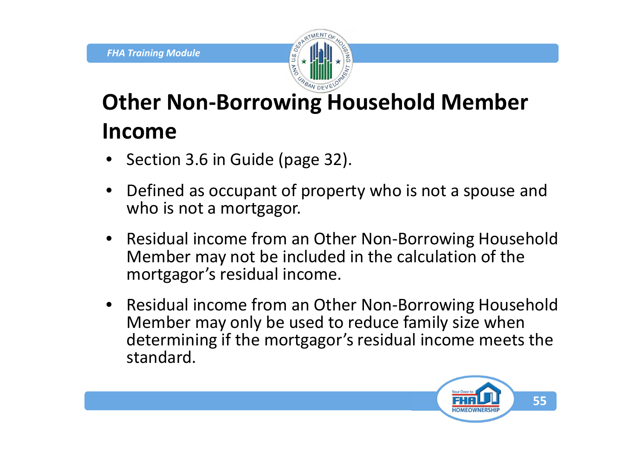

# **Other Non-Borrowing Household Member Income**

- Section 3.6 in Guide (page 32).
- Defined as occupant of property who is not a spouse and who is not a mortgagor.
- Residual income from an Other Non-Borrowing Household Member may not be included in the calculation of the mortgagor's residual income.
- Residual income from an Other Non-Borrowing Household Member may only be used to reduce family size when determining if the mortgagor's residual income meets the standard.

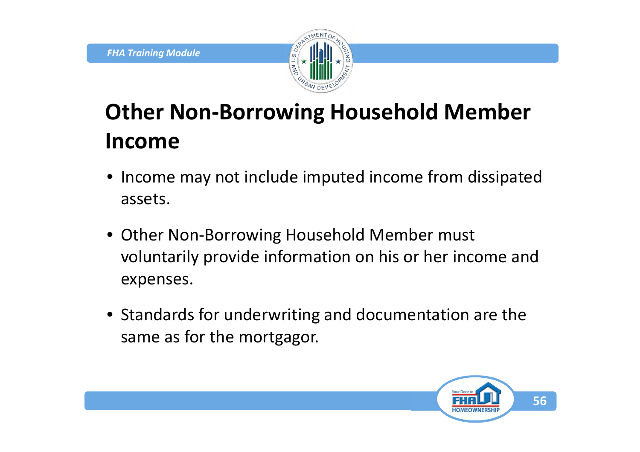

# **Other Non-Borrowing Household Member Income**

- Income may not include imputed income from dissipated assets.
- Other Non-Borrowing Household Member must voluntarily provide information on his or her income and expenses.
- Standards for underwriting and documentation are the same as for the mortgagor.

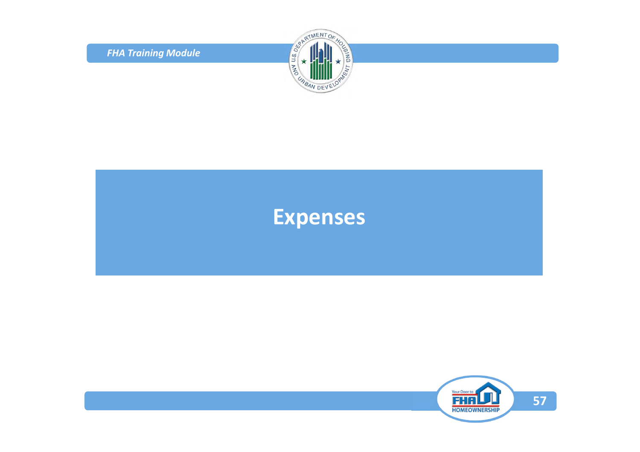*FHA Training Module*



#### **Expenses**

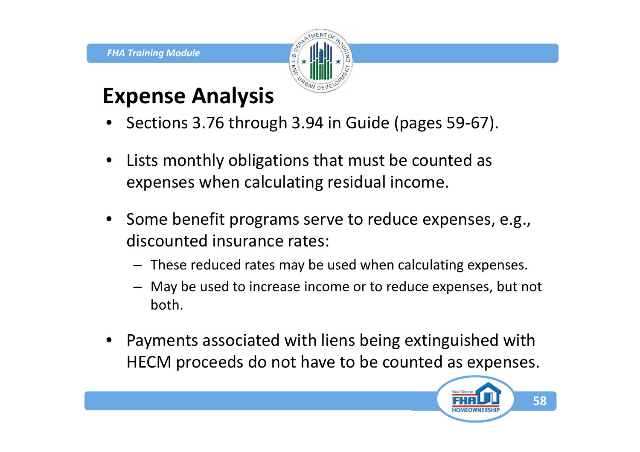

### **Expense Analysis**

- Sections 3.76 through 3.94 in Guide (pages 59-67).
- Lists monthly obligations that must be counted as expenses when calculating residual income.
- Some benefit programs serve to reduce expenses, e.g., discounted insurance rates:
	- These reduced rates may be used when calculating expenses.
	- May be used to increase income or to reduce expenses, but not both.
- Payments associated with liens being extinguished with HECM proceeds do not have to be counted as expenses.

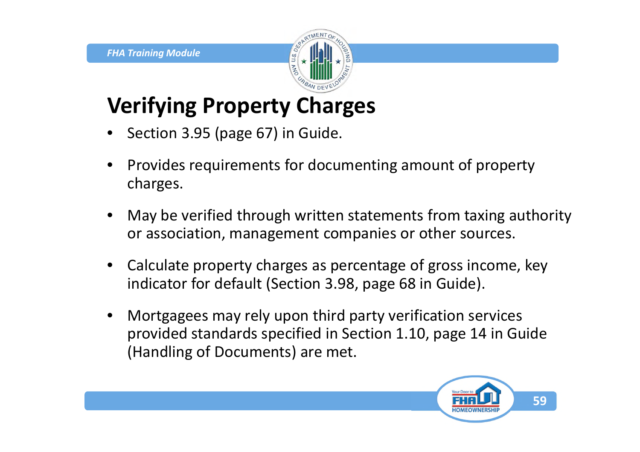

### **Verifying Property Charges**

- Section 3.95 (page 67) in Guide.
- Provides requirements for documenting amount of property charges.
- May be verified through written statements from taxing authority or association, management companies or other sources.
- Calculate property charges as percentage of gross income, key indicator for default (Section 3.98, page 68 in Guide).
- Mortgagees may rely upon third party verification services provided standards specified in Section 1.10, page 14 in Guide (Handling of Documents) are met.

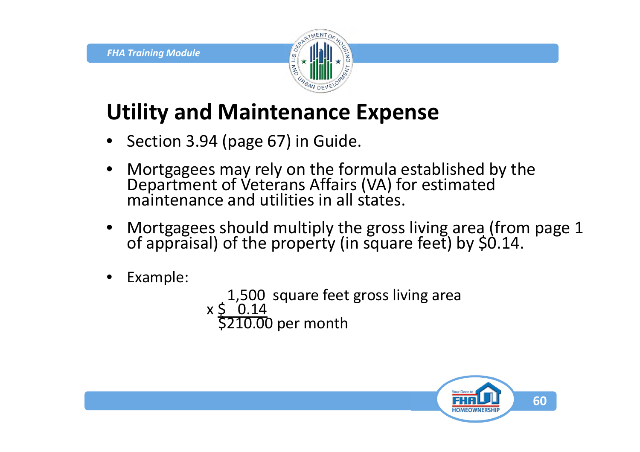

## **Utility and Maintenance Expense**

- Section 3.94 (page 67) in Guide.
- Mortgagees may rely on the formula established by the Department of Veterans Affairs (VA) for estimated maintenance and utilities in all states.
- Mortgagees should multiply the gross living area (from page 1 of appraisal) of the property (in square feet) by \$0.14.
- Example:

1,500 square feet gross living area x <u>\$ 0.14</u> \$210.00 per month

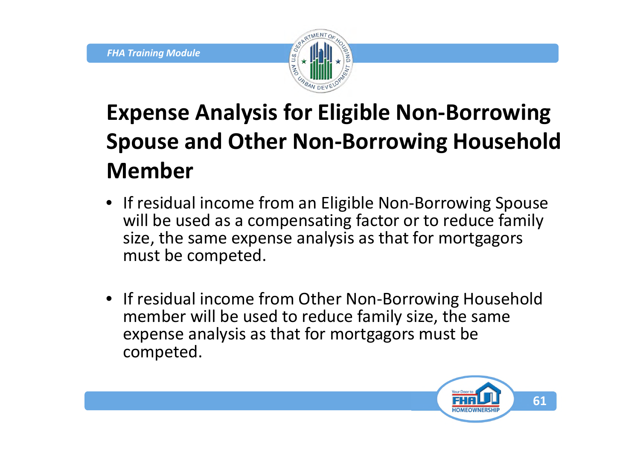

# **Expense Analysis for Eligible Non-Borrowing Spouse and Other Non-Borrowing Household Member**

- If residual income from an Eligible Non-Borrowing Spouse will be used as a compensating factor or to reduce family size, the same expense analysis as that for mortgagors must be competed.
- If residual income from Other Non-Borrowing Household member will be used to reduce family size, the same expense analysis as that for mortgagors must be competed.

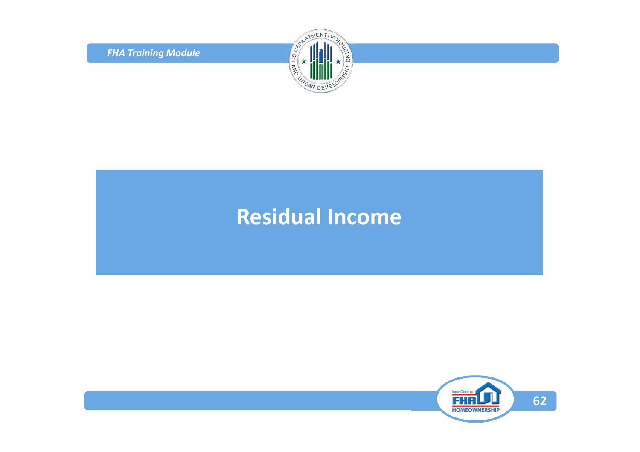*FHA Training Module*



### **Residual Income**

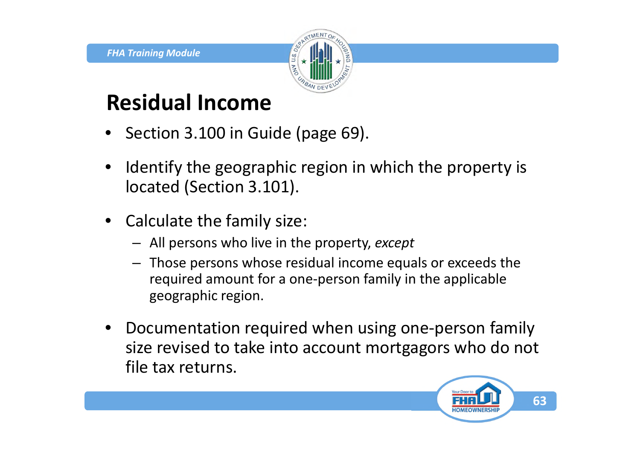

### **Residual Income**

- Section 3.100 in Guide (page 69).
- Identify the geographic region in which the property is located (Section 3.101).
- Calculate the family size:
	- All persons who live in the property, *except*
	- Those persons whose residual income equals or exceeds the required amount for a one-person family in the applicable geographic region.
- Documentation required when using one-person family size revised to take into account mortgagors who do not file tax returns.

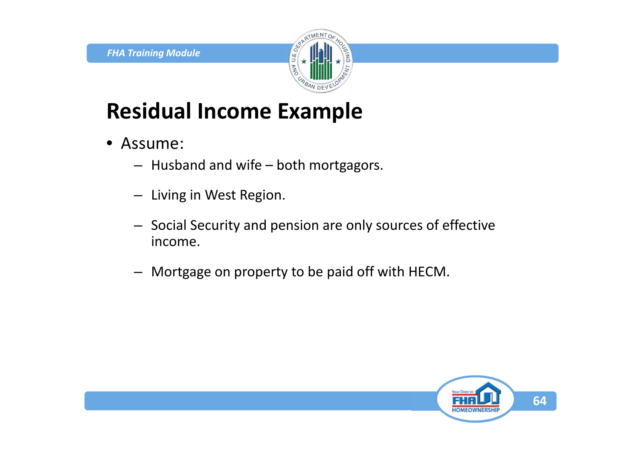

### **Residual Income Example**

- Assume:
	- Husband and wife both mortgagors.
	- Living in West Region.
	- Social Security and pension are only sources of effective income.
	- Mortgage on property to be paid off with HECM.

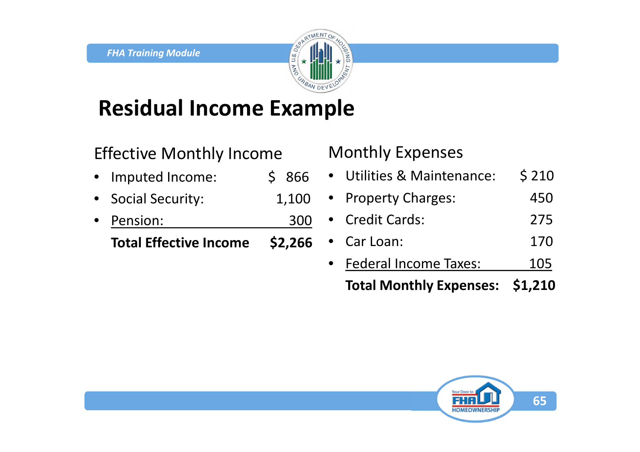

### **Residual Income Example**

Effective Monthly Income

- Imputed Income: \$ 866
- Social Security: 1,100
- Pension: 300

**Total Effective Income \$2,266**

#### Monthly Expenses

| <b>Total Monthly Expenses:</b> | \$1,210 |
|--------------------------------|---------|
| <b>Federal Income Taxes:</b>   | 105     |
| • Car Loan:                    | 170     |
| • Credit Cards:                | 275     |
| • Property Charges:            | 450     |
| • Utilities & Maintenance:     | \$210   |

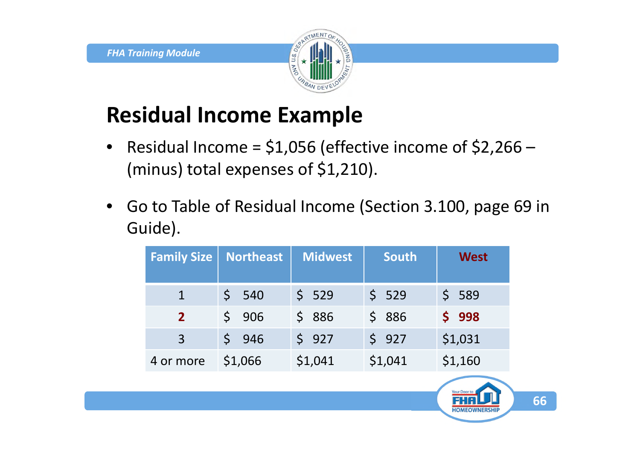

### **Residual Income Example**

- Residual Income =  $$1,056$  (effective income of  $$2,266$  (minus) total expenses of \$1,210).
- Go to Table of Residual Income (Section 3.100, page 69 in Guide).

| <b>Family Size</b> | <b>Northeast</b> | Midwest | <b>South</b> | <b>West</b> |
|--------------------|------------------|---------|--------------|-------------|
|                    | 540              | \$529   | \$529        | \$589       |
| $\overline{2}$     | 906              | \$886   | \$886        | \$998       |
| 3                  | $5 \t 946$       | \$927   | \$927        | \$1,031     |
| 4 or more          | \$1,066          | \$1,041 | \$1,041      | \$1,160     |

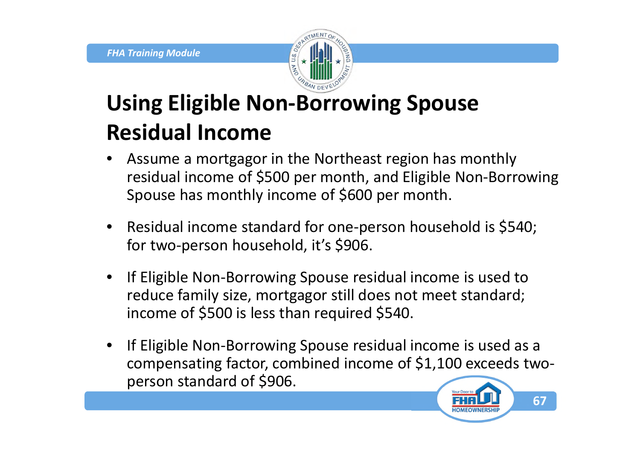

## **Using Eligible Non-Borrowing Spouse Residual Income**

- Assume a mortgagor in the Northeast region has monthly residual income of \$500 per month, and Eligible Non-Borrowing Spouse has monthly income of \$600 per month.
- Residual income standard for one-person household is \$540; for two-person household, it's \$906.
- If Eligible Non-Borrowing Spouse residual income is used to reduce family size, mortgagor still does not meet standard; income of \$500 is less than required \$540.
- If Eligible Non-Borrowing Spouse residual income is used as a compensating factor, combined income of \$1,100 exceeds twoperson standard of \$906.

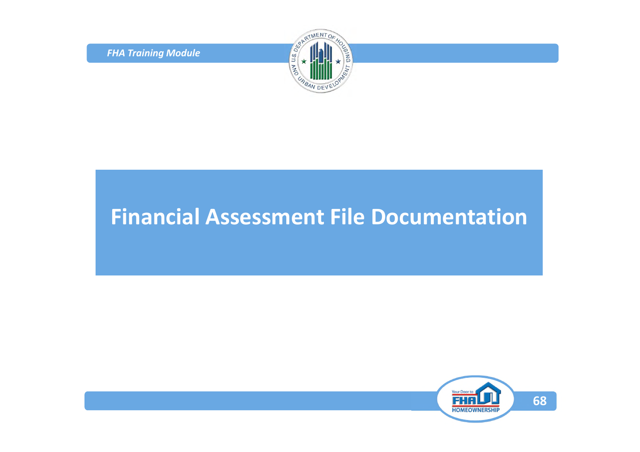*FHA Training Module*



### **Financial Assessment File Documentation**

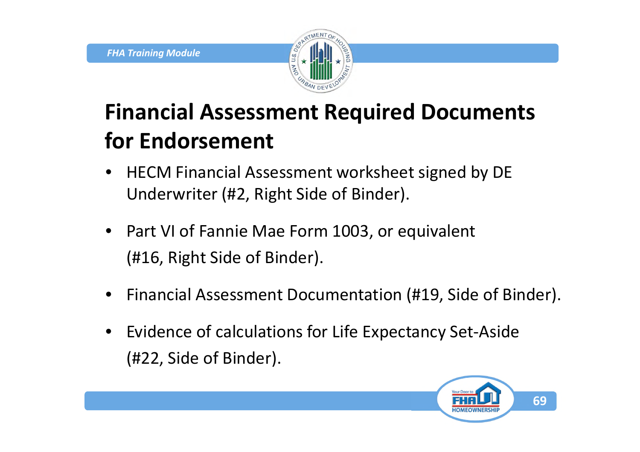

## **Financial Assessment Required Documents for Endorsement**

- HECM Financial Assessment worksheet signed by DE Underwriter (#2, Right Side of Binder).
- Part VI of Fannie Mae Form 1003, or equivalent (#16, Right Side of Binder).
- Financial Assessment Documentation (#19, Side of Binder).
- Evidence of calculations for Life Expectancy Set-Aside (#22, Side of Binder).

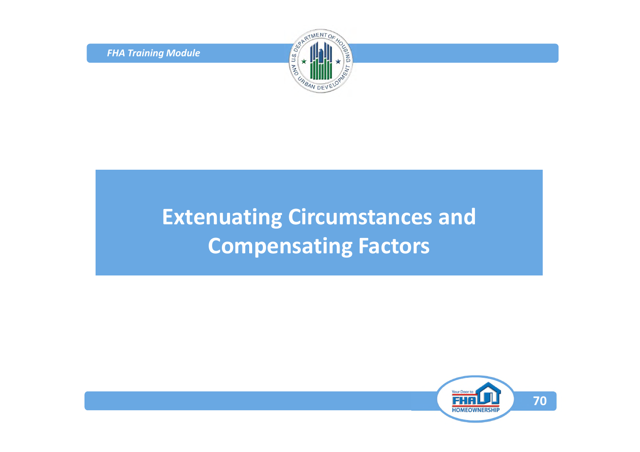*FHA Training Module*



## **Extenuating Circumstances and Compensating Factors**

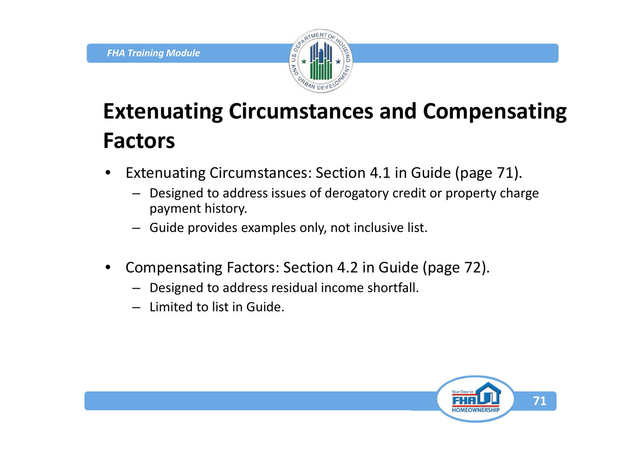

## **Extenuating Circumstances and Compensating Factors**

- Extenuating Circumstances: Section 4.1 in Guide (page 71).
	- Designed to address issues of derogatory credit or property charge payment history.
	- Guide provides examples only, not inclusive list.
- Compensating Factors: Section 4.2 in Guide (page 72).
	- Designed to address residual income shortfall.
	- Limited to list in Guide.

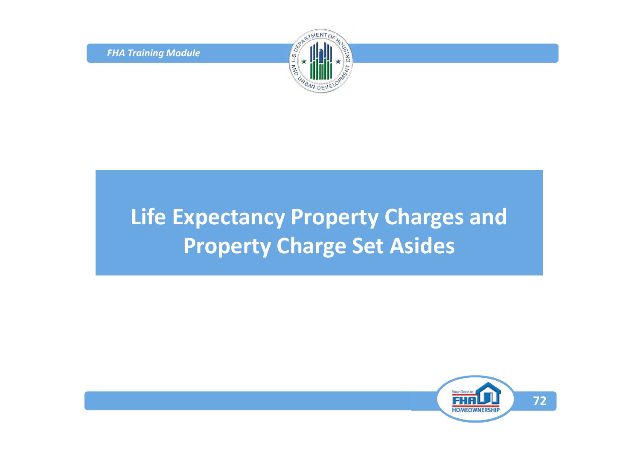*FHA Training Module*



## **Life Expectancy Property Charges and Property Charge Set Asides**

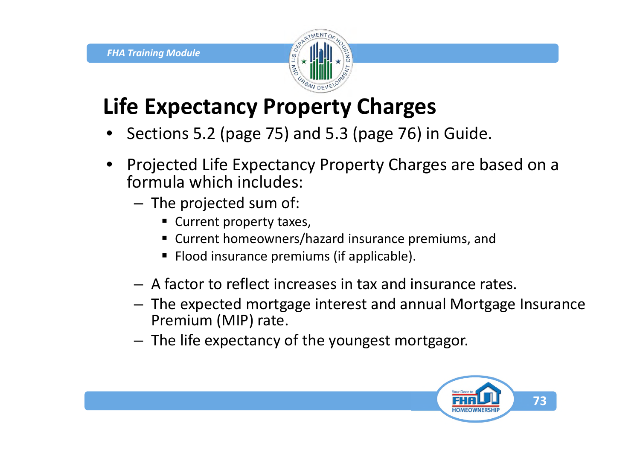

#### **Life Expectancy Property Charges**

- Sections 5.2 (page 75) and 5.3 (page 76) in Guide.
- Projected Life Expectancy Property Charges are based on a formula which includes:
	- The projected sum of:
		- Current property taxes,
		- Current homeowners/hazard insurance premiums, and
		- **Flood insurance premiums (if applicable).**
	- A factor to reflect increases in tax and insurance rates.
	- The expected mortgage interest and annual Mortgage Insurance Premium (MIP) rate.
	- The life expectancy of the youngest mortgagor.

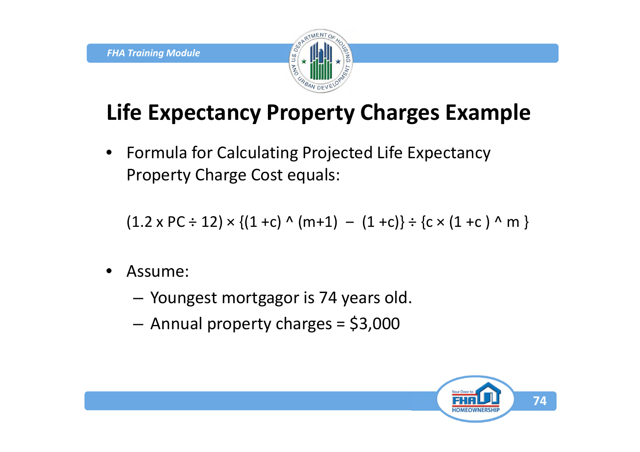

### **Life Expectancy Property Charges Example**

• Formula for Calculating Projected Life Expectancy Property Charge Cost equals:

 $(1.2 \times PC \div 12) \times \{(1 + c) \land (m + 1) - (1 + c)\} \div \{c \times (1 + c) \land m\}$ 

- Assume:
	- Youngest mortgagor is 74 years old.
	- Annual property charges = \$3,000

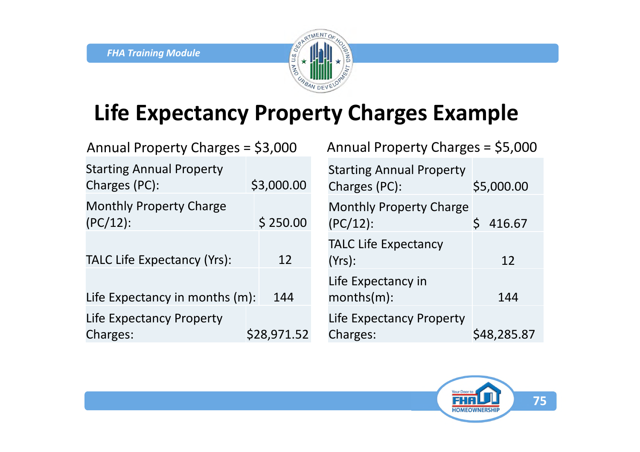

#### **Life Expectancy Property Charges Example**

| Annual Property Charges = \$3,000                |             | Annual Property Charges = \$5,000                |             |  |
|--------------------------------------------------|-------------|--------------------------------------------------|-------------|--|
| <b>Starting Annual Property</b><br>Charges (PC): | \$3,000.00  | <b>Starting Annual Property</b><br>Charges (PC): | \$5,000.00  |  |
| <b>Monthly Property Charge</b><br>$(PC/12)$ :    | \$250.00    | Monthly Property Charge<br>$(PC/12)$ :           | 416.67      |  |
| <b>TALC Life Expectancy (Yrs):</b>               | 12          | <b>TALC Life Expectancy</b><br>$(Yrs)$ :         | 12          |  |
| Life Expectancy in months (m):                   | 144         | Life Expectancy in<br>$months(m)$ :              | 144         |  |
| Life Expectancy Property<br>Charges:             | \$28,971.52 | Life Expectancy Property<br>Charges:             | \$48,285.87 |  |

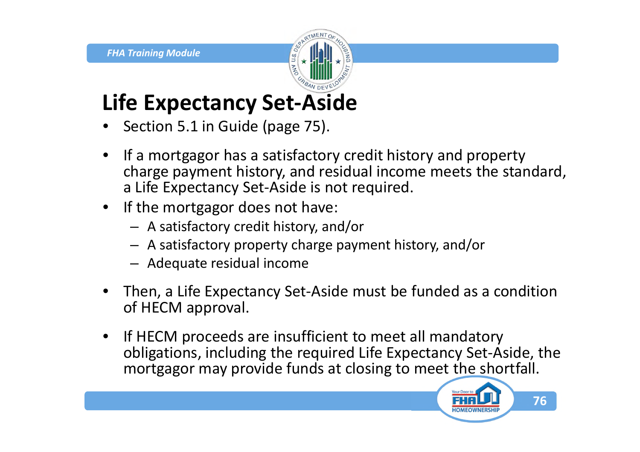### **Life Expectancy Set-Aside**

- Section 5.1 in Guide (page 75).
- If a mortgagor has a satisfactory credit history and property charge payment history, and residual income meets the standard, a Life Expectancy Set-Aside is not required.
- If the mortgagor does not have:
	- A satisfactory credit history, and/or
	- A satisfactory property charge payment history, and/or
	- Adequate residual income
- Then, a Life Expectancy Set-Aside must be funded as a condition of HECM approval.
- If HECM proceeds are insufficient to meet all mandatory obligations, including the required Life Expectancy Set-Aside, the mortgagor may provide funds at closing to meet the shortfall.

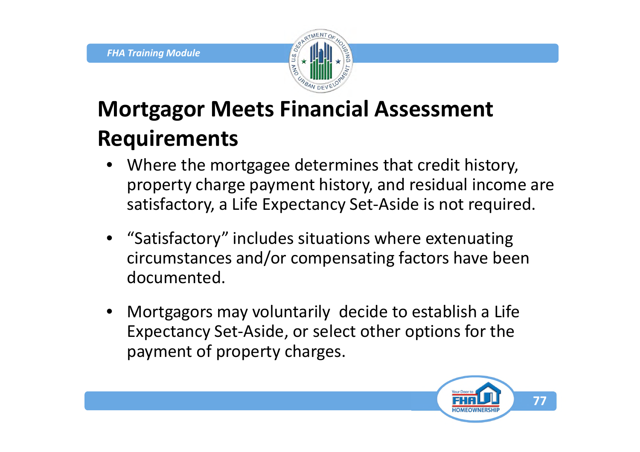

## **Mortgagor Meets Financial Assessment Requirements**

- Where the mortgagee determines that credit history, property charge payment history, and residual income are satisfactory, a Life Expectancy Set-Aside is not required.
- "Satisfactory" includes situations where extenuating circumstances and/or compensating factors have been documented.
- Mortgagors may voluntarily decide to establish a Life Expectancy Set-Aside, or select other options for the payment of property charges.

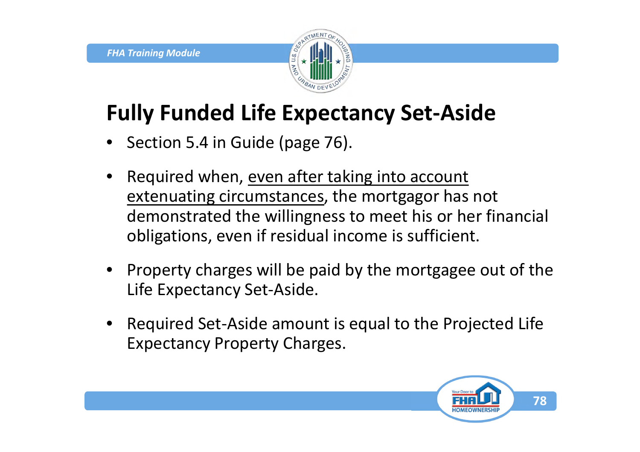

#### **Fully Funded Life Expectancy Set-Aside**

- Section 5.4 in Guide (page 76).
- Required when, even after taking into account extenuating circumstances, the mortgagor has not demonstrated the willingness to meet his or her financial obligations, even if residual income is sufficient.
- Property charges will be paid by the mortgagee out of the Life Expectancy Set-Aside.
- Required Set-Aside amount is equal to the Projected Life Expectancy Property Charges.

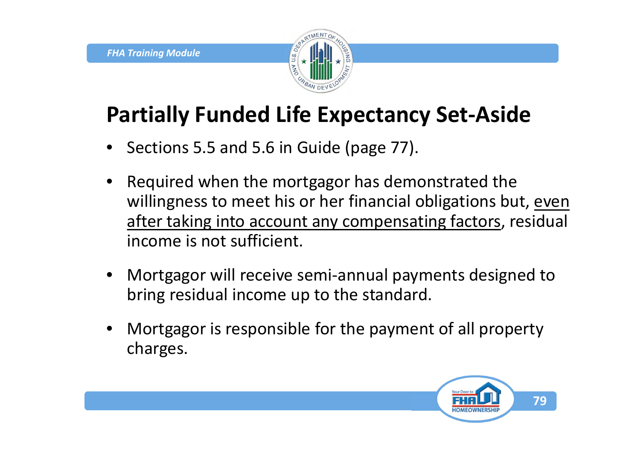

#### **Partially Funded Life Expectancy Set-Aside**

- Sections 5.5 and 5.6 in Guide (page 77).
- Required when the mortgagor has demonstrated the willingness to meet his or her financial obligations but, even after taking into account any compensating factors, residual income is not sufficient.
- Mortgagor will receive semi-annual payments designed to bring residual income up to the standard.
- Mortgagor is responsible for the payment of all property charges.

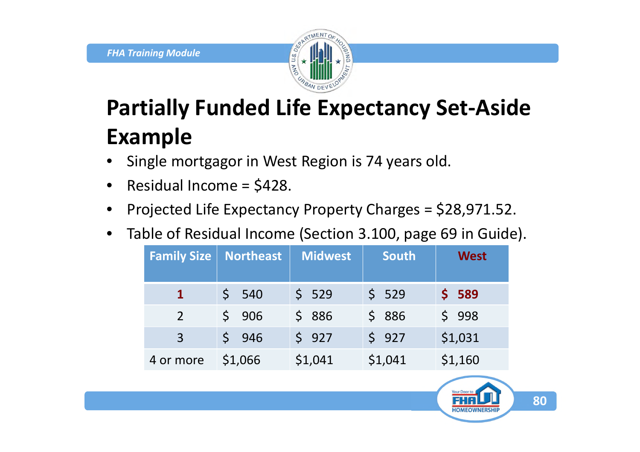

## **Partially Funded Life Expectancy Set-Aside Example**

- Single mortgagor in West Region is 74 years old.
- Residual Income = \$428.
- Projected Life Expectancy Property Charges = \$28,971.52.
- Table of Residual Income (Section 3.100, page 69 in Guide).

| <b>Family Size</b> | <b>Northeast</b> | <b>Midwest</b> | <b>South</b> | <b>West</b> |
|--------------------|------------------|----------------|--------------|-------------|
|                    | 540              | \$529          | \$529        | \$589       |
| $\overline{2}$     | 906              | \$886          | \$886        | \$998       |
| $\overline{3}$     | \$946            | \$927          | \$927        | \$1,031     |
| 4 or more          | \$1,066          | \$1,041        | \$1,041      | \$1,160     |

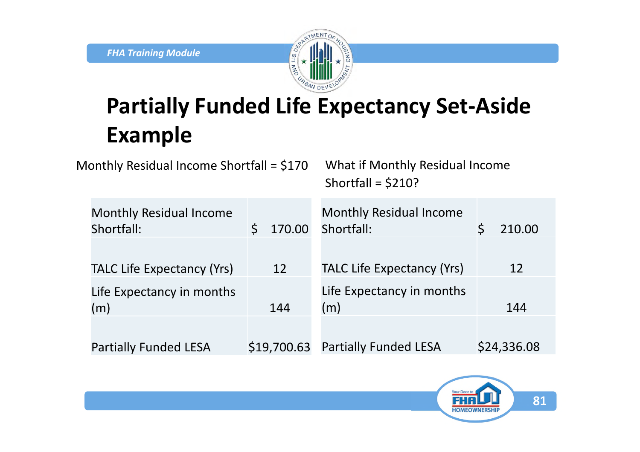

## **Partially Funded Life Expectancy Set-Aside Example**

Monthly Residual Income Shortfall = \$170 What if Monthly Residual Income

Shortfall = \$210?

| <b>Monthly Residual Income</b><br>Shortfall: | 170.00      | <b>Monthly Residual Income</b><br>Shortfall: | 210.00      |
|----------------------------------------------|-------------|----------------------------------------------|-------------|
| <b>TALC Life Expectancy (Yrs)</b>            | 12          | <b>TALC Life Expectancy (Yrs)</b>            | 12          |
| Life Expectancy in months<br>(m)             | 144         | Life Expectancy in months<br>(m)             | 144         |
| <b>Partially Funded LESA</b>                 | \$19,700.63 | <b>Partially Funded LESA</b>                 | \$24,336.08 |

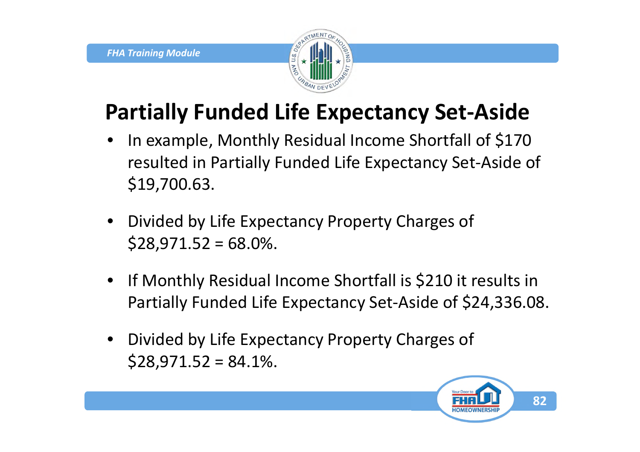

#### **Partially Funded Life Expectancy Set-Aside**

- In example, Monthly Residual Income Shortfall of \$170 resulted in Partially Funded Life Expectancy Set-Aside of \$19,700.63.
- Divided by Life Expectancy Property Charges of  $$28,971.52 = 68.0\%$ .
- If Monthly Residual Income Shortfall is \$210 it results in Partially Funded Life Expectancy Set-Aside of \$24,336.08.
- Divided by Life Expectancy Property Charges of  $$28,971.52 = 84.1\%$ .

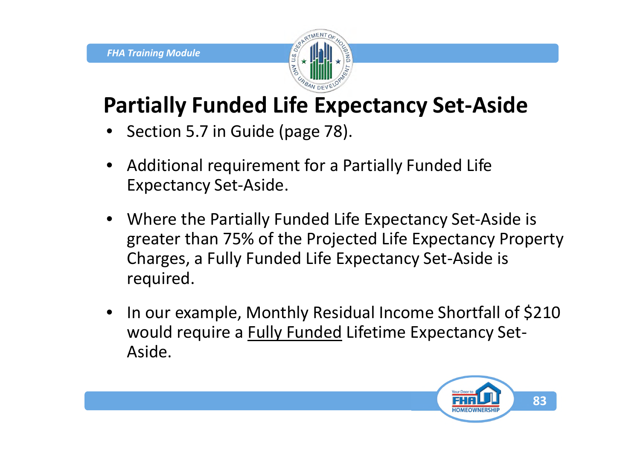

#### **Partially Funded Life Expectancy Set-Aside**

- Section 5.7 in Guide (page 78).
- Additional requirement for a Partially Funded Life Expectancy Set-Aside.
- Where the Partially Funded Life Expectancy Set-Aside is greater than 75% of the Projected Life Expectancy Property Charges, a Fully Funded Life Expectancy Set-Aside is required.
- In our example, Monthly Residual Income Shortfall of \$210 would require a Fully Funded Lifetime Expectancy Set-Aside.

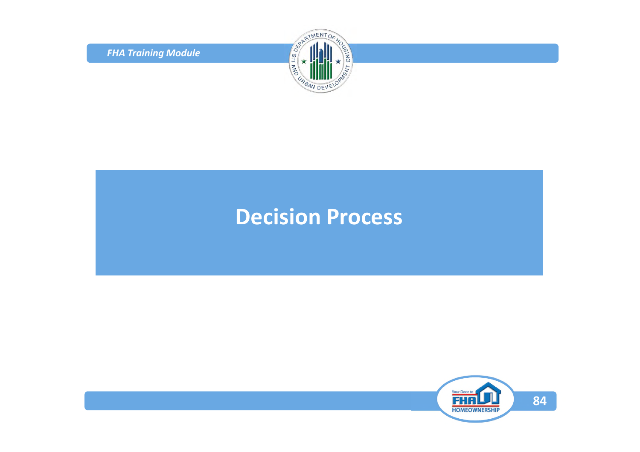*FHA Training Module*



#### **Decision Process**

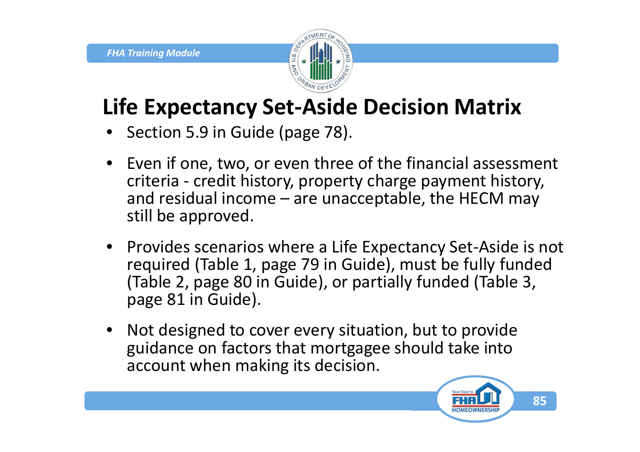

#### **Life Expectancy Set-Aside Decision Matrix**

- Section 5.9 in Guide (page 78).
- Even if one, two, or even three of the financial assessment criteria - credit history, property charge payment history, and residual income – are unacceptable, the HECM may still be approved.
- Provides scenarios where a Life Expectancy Set-Aside is not required (Table 1, page 79 in Guide), must be fully funded (Table 2, page 80 in Guide), or partially funded (Table 3, page 81 in Guide).
- Not designed to cover every situation, but to provide guidance on factors that mortgagee should take into account when making its decision.

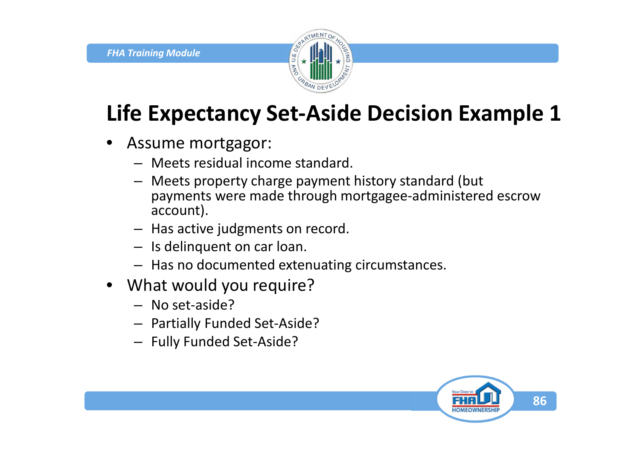

#### **Life Expectancy Set-Aside Decision Example 1**

- Assume mortgagor:
	- Meets residual income standard.
	- Meets property charge payment history standard (but payments were made through mortgagee-administered escrow account).
	- Has active judgments on record.
	- Is delinquent on car loan.
	- Has no documented extenuating circumstances.
- What would you require?
	- No set-aside?
	- Partially Funded Set-Aside?
	- Fully Funded Set-Aside?

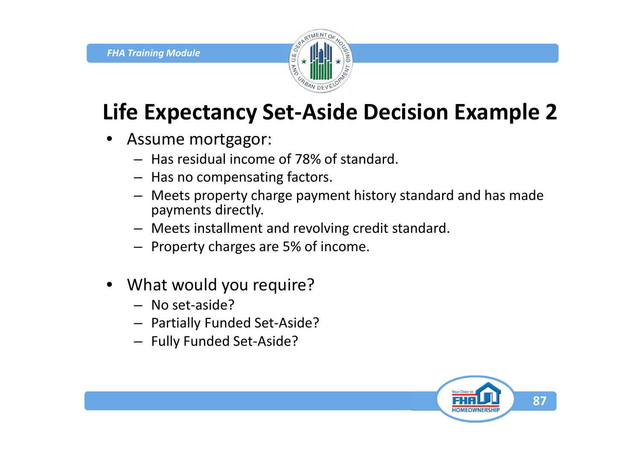

## **Life Expectancy Set-Aside Decision Example 2**

- Assume mortgagor:
	- Has residual income of 78% of standard.
	- Has no compensating factors.
	- Meets property charge payment history standard and has made payments directly.
	- Meets installment and revolving credit standard.
	- Property charges are 5% of income.
- What would you require?
	- No set-aside?
	- Partially Funded Set-Aside?
	- Fully Funded Set-Aside?

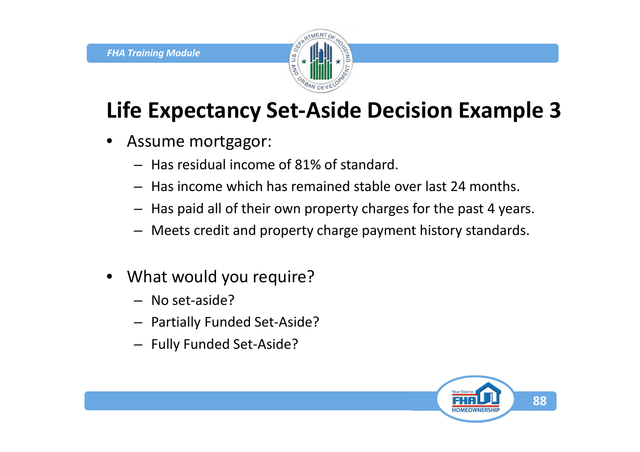

## **Life Expectancy Set-Aside Decision Example 3**

- Assume mortgagor:
	- Has residual income of 81% of standard.
	- Has income which has remained stable over last 24 months.
	- Has paid all of their own property charges for the past 4 years.
	- Meets credit and property charge payment history standards.
- What would you require?
	- No set-aside?
	- Partially Funded Set-Aside?
	- Fully Funded Set-Aside?

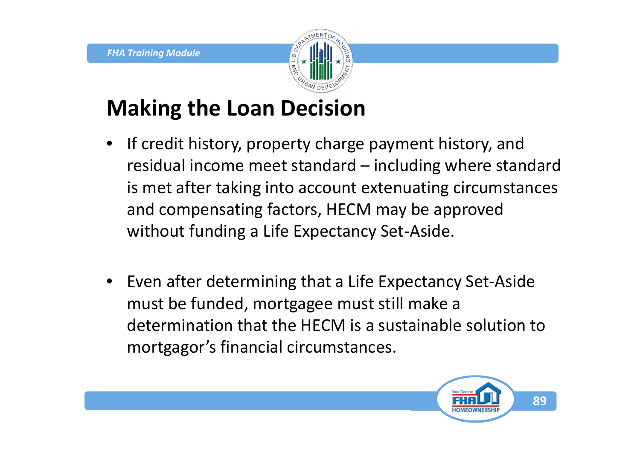

#### **Making the Loan Decision**

- If credit history, property charge payment history, and residual income meet standard – including where standard is met after taking into account extenuating circumstances and compensating factors, HECM may be approved without funding a Life Expectancy Set-Aside.
- Even after determining that a Life Expectancy Set-Aside must be funded, mortgagee must still make a determination that the HECM is a sustainable solution to mortgagor's financial circumstances.

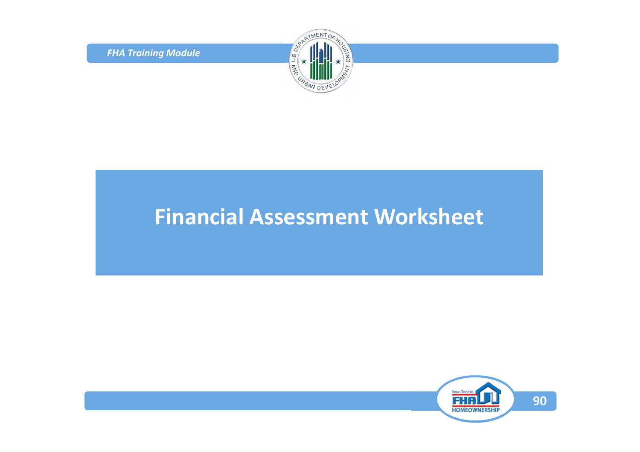*FHA Training Module*



#### **Financial Assessment Worksheet**

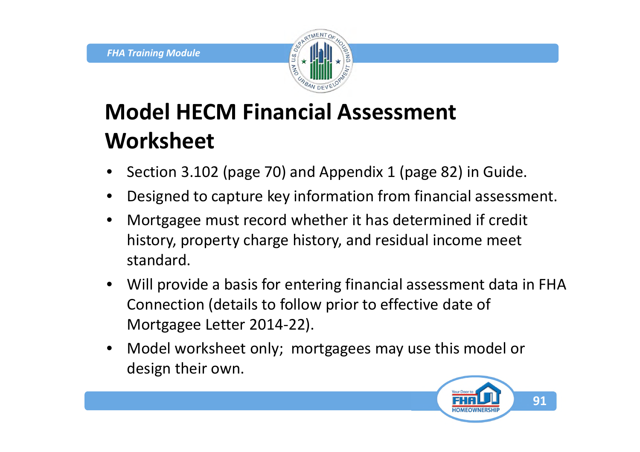

## **Model HECM Financial Assessment Worksheet**

- Section 3.102 (page 70) and Appendix 1 (page 82) in Guide.
- Designed to capture key information from financial assessment.
- Mortgagee must record whether it has determined if credit history, property charge history, and residual income meet standard.
- Will provide a basis for entering financial assessment data in FHA Connection (details to follow prior to effective date of Mortgagee Letter 2014-22).
- Model worksheet only; mortgagees may use this model or design their own.

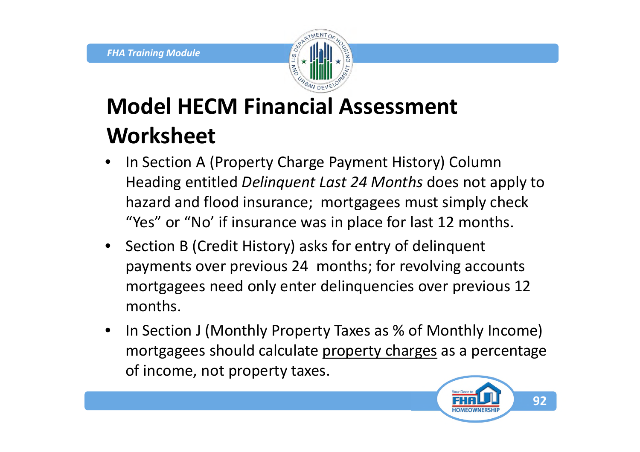

## **Model HECM Financial Assessment Worksheet**

- In Section A (Property Charge Payment History) Column Heading entitled *Delinquent Last 24 Months* does not apply to hazard and flood insurance; mortgagees must simply check "Yes" or "No' if insurance was in place for last 12 months.
- Section B (Credit History) asks for entry of delinquent payments over previous 24 months; for revolving accounts mortgagees need only enter delinquencies over previous 12 months.
- In Section J (Monthly Property Taxes as % of Monthly Income) mortgagees should calculate property charges as a percentage of income, not property taxes.

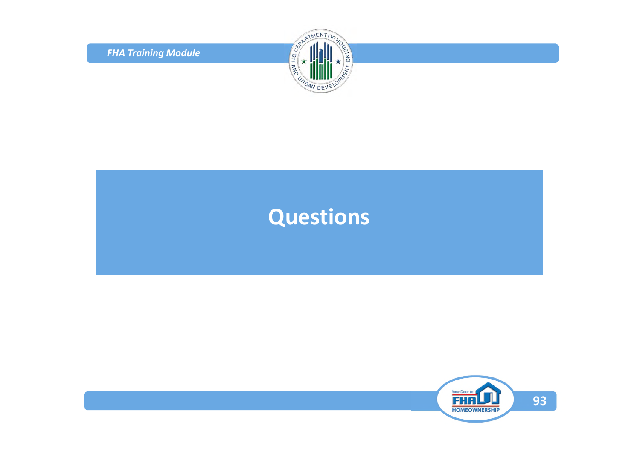*FHA Training Module*



#### **Questions**

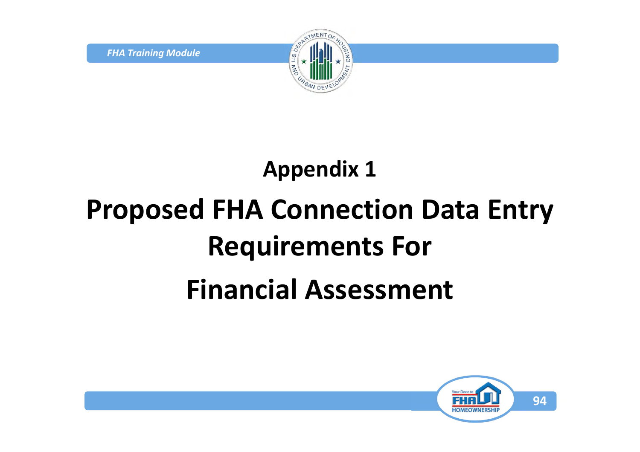*FHA Training Module*



# **Appendix 1 Proposed FHA Connection Data Entry Requirements For Financial Assessment**

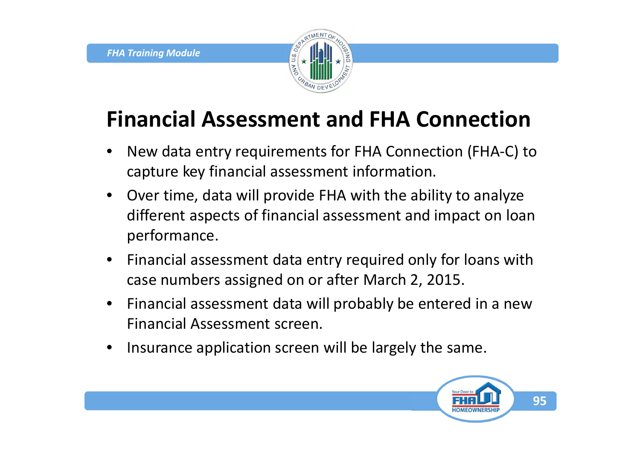

#### **Financial Assessment and FHA Connection**

- New data entry requirements for FHA Connection (FHA-C) to capture key financial assessment information.
- Over time, data will provide FHA with the ability to analyze different aspects of financial assessment and impact on loan performance.
- Financial assessment data entry required only for loans with case numbers assigned on or after March 2, 2015.
- Financial assessment data will probably be entered in a new Financial Assessment screen.
- Insurance application screen will be largely the same.

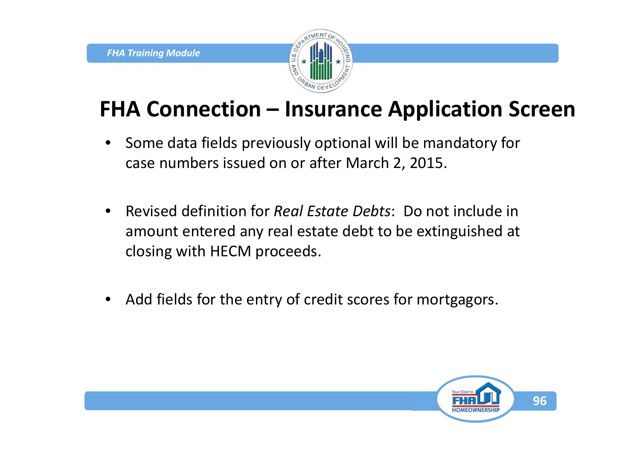

#### **FHA Connection – Insurance Application Screen**

- Some data fields previously optional will be mandatory for case numbers issued on or after March 2, 2015.
- Revised definition for *Real Estate Debts*: Do not include in amount entered any real estate debt to be extinguished at closing with HECM proceeds.
- Add fields for the entry of credit scores for mortgagors.

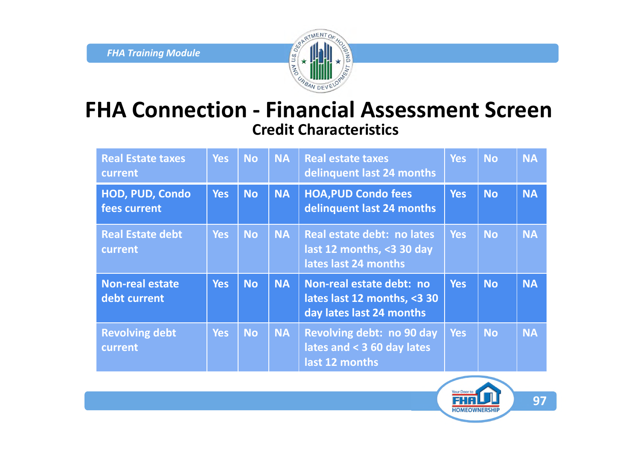

#### **FHA Connection - Financial Assessment Screen Credit Characteristics**

| <b>Real Estate taxes</b><br>current    | <b>Yes</b> | <b>No</b> | <b>NA</b> | <b>Real estate taxes</b><br>delinguent last 24 months                               | <b>Yes</b> | <b>No</b> | <b>NA</b> |
|----------------------------------------|------------|-----------|-----------|-------------------------------------------------------------------------------------|------------|-----------|-----------|
| <b>HOD, PUD, Condo</b><br>fees current | <b>Yes</b> | <b>No</b> | <b>NA</b> | <b>HOA, PUD Condo fees</b><br>delinguent last 24 months                             | <b>Yes</b> | <b>No</b> | <b>NA</b> |
| <b>Real Estate debt</b><br>current     | <b>Yes</b> | <b>No</b> | <b>NA</b> | Real estate debt: no lates<br>last 12 months, <3 30 day<br>lates last 24 months     | <b>Yes</b> | <b>No</b> | <b>NA</b> |
| <b>Non-real estate</b><br>debt current | <b>Yes</b> | <b>No</b> | <b>NA</b> | Non-real estate debt: no<br>lates last 12 months, <3 30<br>day lates last 24 months | <b>Yes</b> | <b>No</b> | <b>NA</b> |
| <b>Revolving debt</b><br>current       | <b>Yes</b> | <b>No</b> | <b>NA</b> | <b>Revolving debt: no 90 day</b><br>lates and $<$ 3 60 day lates<br>last 12 months  | <b>Yes</b> | <b>No</b> | <b>NA</b> |

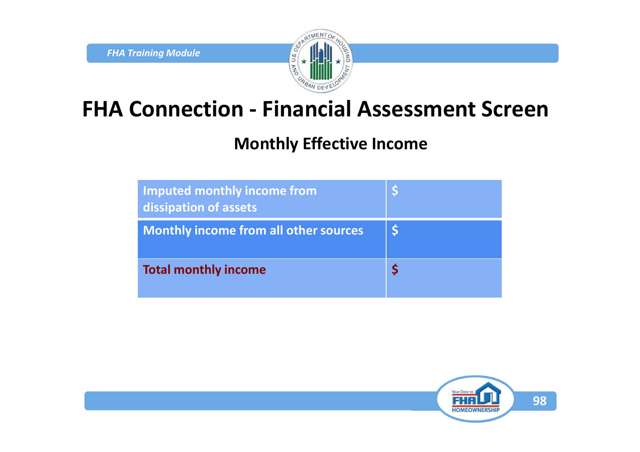

#### **FHA Connection - Financial Assessment Screen**

#### **Monthly Effective Income**

| Imputed monthly income from<br>dissipation of assets |  |
|------------------------------------------------------|--|
| <b>Monthly income from all other sources</b>         |  |
| <b>Total monthly income</b>                          |  |